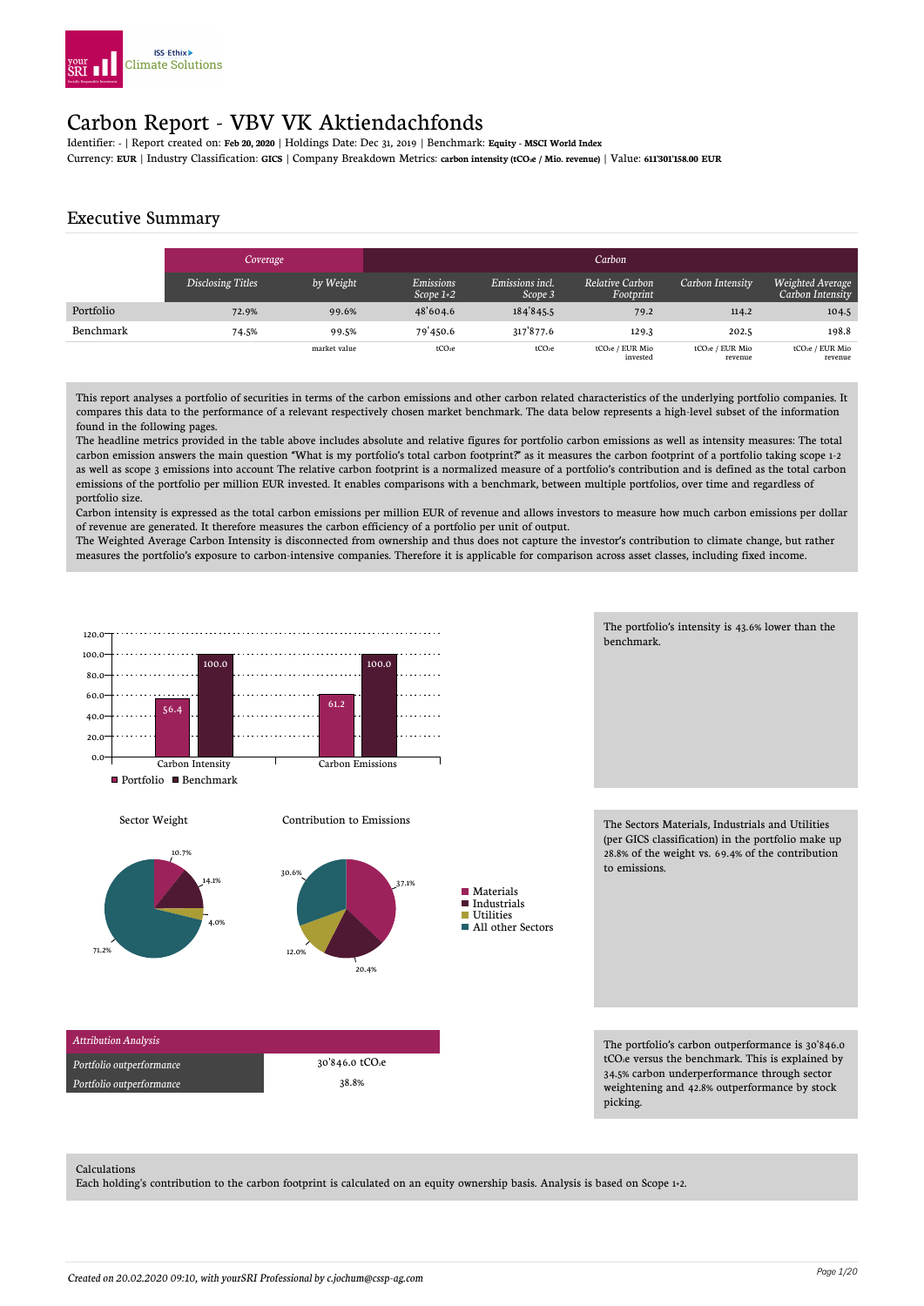

## Carbon Report - VBV VK Aktiendachfonds

Identifier: **-** | Report created on: **Feb 20, 2020** | Holdings Date: Dec 31, 2019 | Benchmark: **Equity - MSCI World Index**

#### Currency: **EUR** | Industry Classification: **GICS** | Company Breakdown Metrics: **carbon intensity (tCO2e / Mio. revenue)** | Value: **611'301'158.00 EUR**

#### Executive Summary

|           | <b>Coverage</b>   |              |                          |                            |                              |                            |                                         |
|-----------|-------------------|--------------|--------------------------|----------------------------|------------------------------|----------------------------|-----------------------------------------|
|           | Disclosing Titles | by Weight    | Emissions<br>Scope $1+2$ | Emissions incl.<br>Scope 3 | Relative Carbon<br>Footprint | Carbon Intensity           | Weighted Average<br>Carbon Intensity    |
| Portfolio | 72.9%             | 99.6%        | 48'604.6                 | 184'845.5                  | 79.2                         | 114.2                      | 104.5                                   |
| Benchmark | 74.5%             | 99.5%        | 79'450.6                 | 317 877.6                  | 129.3                        | 202.5                      | 198.8                                   |
|           |                   | market value | tCO <sub>2</sub> e       | tCO <sub>2</sub> e         | tCO2e / EUR Mio<br>invested  | tCO2e / EUR Mio<br>revenue | tCO <sub>2</sub> e / EUR Mio<br>revenue |

This report analyses a portfolio of securities in terms of the carbon emissions and other carbon related characteristics of the underlying portfolio companies. It compares this data to the performance of a relevant respectively chosen market benchmark. The data below represents a high-level subset of the information found in the following pages.

The headline metrics provided in the table above includes absolute and relative figures for portfolio carbon emissions as well as intensity measures: The total carbon emission answers the main question "What is my portfolio's total carbon footprint?" as it measures the carbon footprint of a portfolio taking scope 1-2 as well as scope 3 emissions into account The relative carbon footprint is a normalized measure of a portfolio's contribution and is defined as the total carbon emissions of the portfolio per million EUR invested. It enables comparisons with a benchmark, between multiple portfolios, over time and regardless of portfolio size.

Carbon intensity is expressed as the total carbon emissions per million EUR of revenue and allows investors to measure how much carbon emissions per dollar of revenue are generated. It therefore measures the carbon efficiency of a portfolio per unit of output.

The Weighted Average Carbon Intensity is disconnected from ownership and thus does not capture the investor's contribution to climate change, but rather measures the portfolio's exposure to carbon-intensive companies. Therefore it is applicable for comparison across asset classes, including fixed income.



The portfolio's intensity is 43.6% lower than the benchmark.

The Sectors Materials, Industrials and Utilities (per GICS classification) in the portfolio make up 28.8% of the weight vs. 69.4% of the contribution to emissions.

The portfolio's carbon outperformance is 30'846.0 tCO<sub>2</sub>e versus the benchmark. This is explained by 34.5% carbon underperformance through sector weightening and 42.8% outperformance by stock picking.

#### Calculations

Each holding's contribution to the carbon footprint is calculated on an equity ownership basis. Analysis is based on Scope 1+2.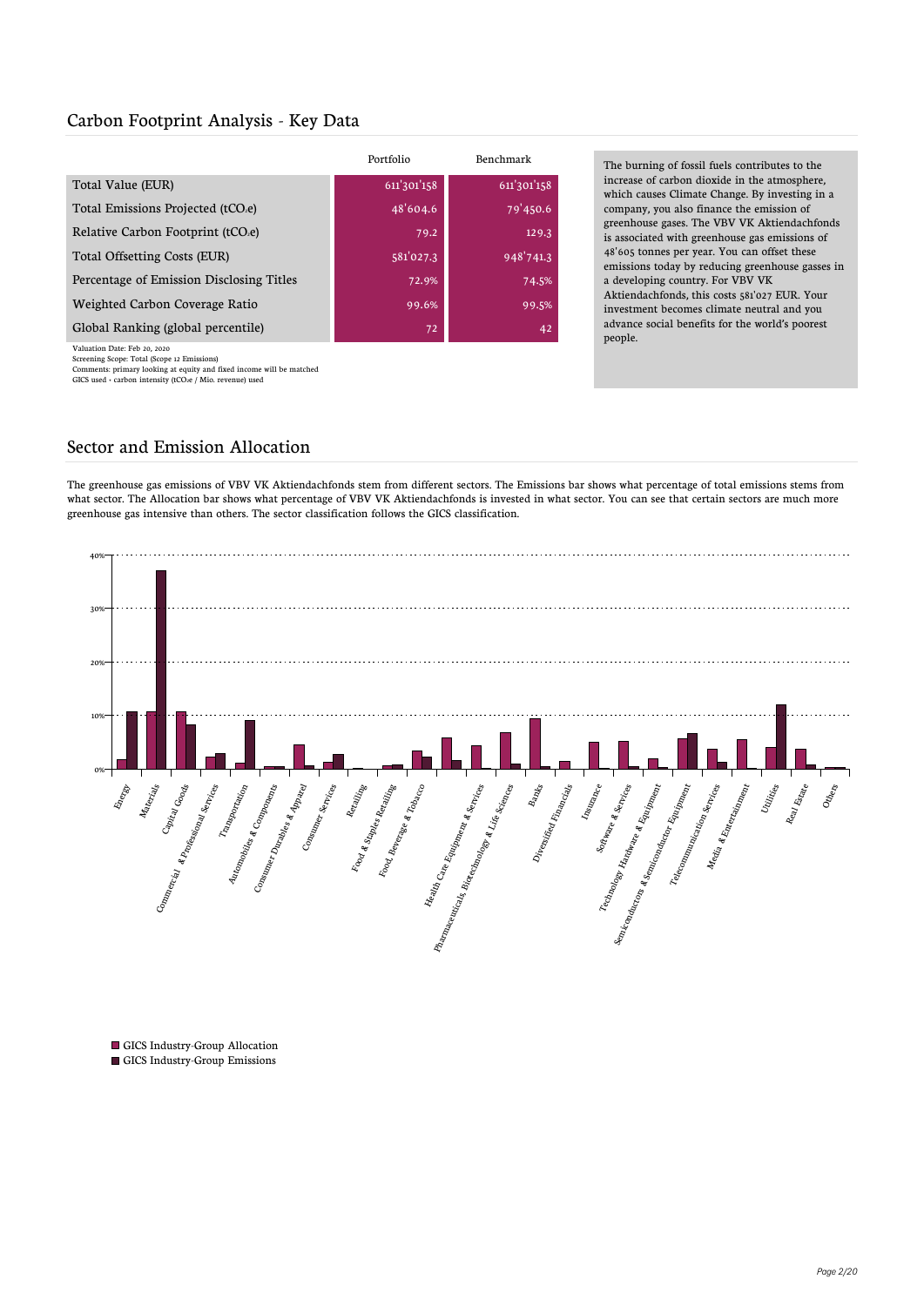#### Carbon Footprint Analysis - Key Data

|                                          | Portfolio   | Benchmark   |
|------------------------------------------|-------------|-------------|
| Total Value (EUR)                        | 611'301'158 | 611'301'158 |
| Total Emissions Projected (tCO.e)        | 48'604.6    | 79'450.6    |
| Relative Carbon Footprint (tCO.e)        | 79.2        | 129.3       |
| Total Offsetting Costs (EUR)             | 581'027.3   | 948'741.3   |
| Percentage of Emission Disclosing Titles | 72.9%       | 74.5%       |
| Weighted Carbon Coverage Ratio           | 99.6%       | 99.5%       |
| Global Ranking (global percentile)       | 72          | 42          |
|                                          |             |             |

ation Date: Feb 20, 2020

Screening Scope: Total (Scope 12 Emissions)<br>Comments: primary looking at equity and fixed income will be matched<br>GICS used + carbon intensity (tCO2e / Mio. revenue) used

The burning of fossil fuels contributes to the increase of carbon dioxide in the atmosphere, which causes Climate Change. By investing in a company, you also finance the emission of greenhouse gases. The VBV VK Aktiendachfonds is associated with greenhouse gas emissions of 48'605 tonnes per year. You can offset these emissions today by reducing greenhouse gasses in a developing country. For VBV VK Aktiendachfonds, this costs 581'027 EUR. Your investment becomes climate neutral and you advance social benefits for the world's poorest people.

#### Sector and Emission Allocation

The greenhouse gas emissions of VBV VK Aktiendachfonds stem from different sectors. The Emissions bar shows what percentage of total emissions stems from what sector. The Allocation bar shows what percentage of VBV VK Aktiendachfonds is invested in what sector. You can see that certain sectors are much more greenhouse gas intensive than others. The sector classification follows the GICS classification.



GICS Industry-Group Allocation GICS Industry-Group Emissions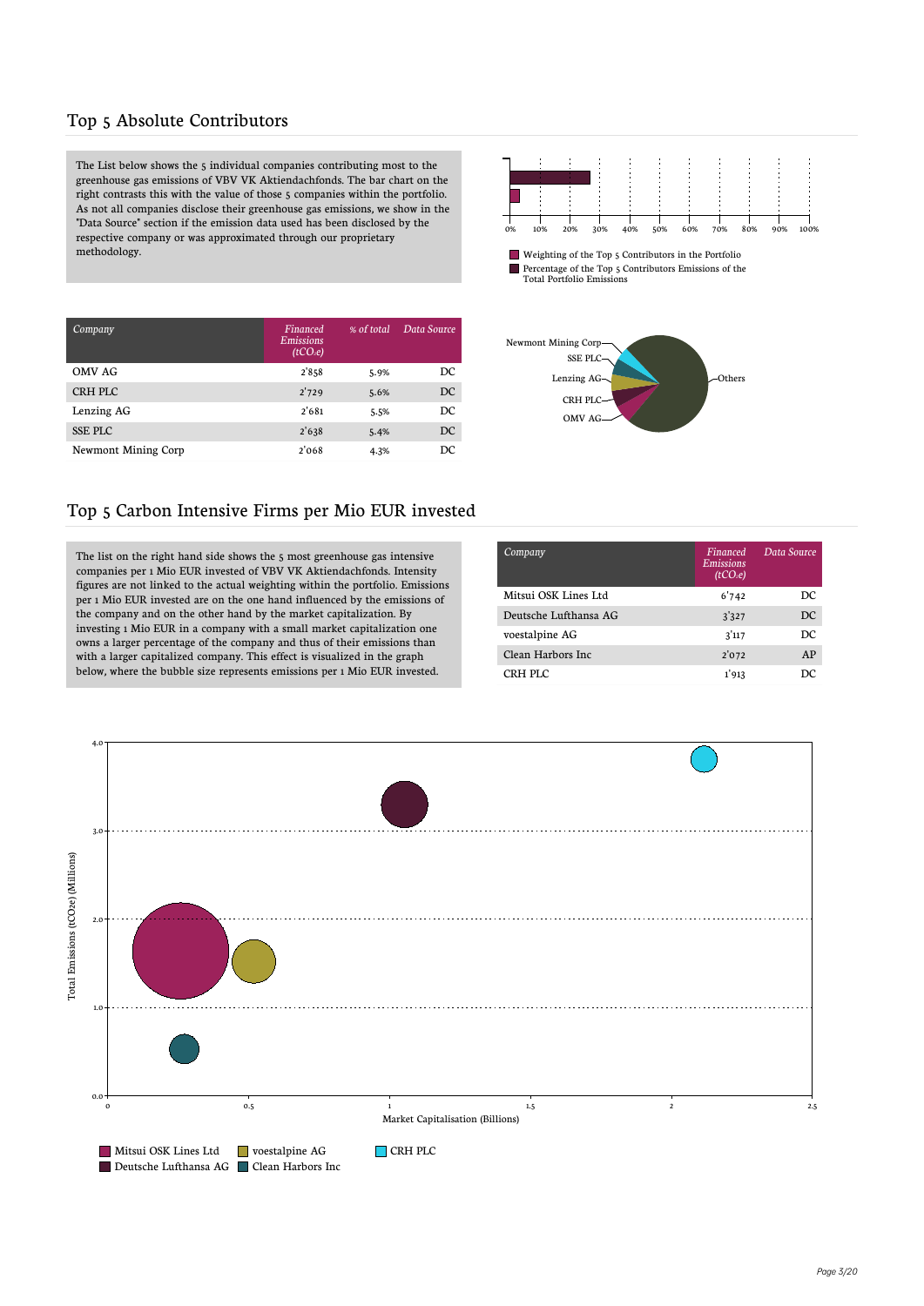#### Top 5 Absolute Contributors

The List below shows the 5 individual companies contributing most to the greenhouse gas emissions of VBV VK Aktiendachfonds. The bar chart on the  $\operatorname{right}$  contrasts this with the value of those 5 companies within the portfolio. As not all companies disclose their greenhouse gas emissions, we show in the "Data Source" section if the emission data used has been disclosed by the respective company or was approximated through our proprietary methodology.



Weighting of the Top 5 Contributors in the Portfolio П Percentage of the Top 5 Contributors Emissions of the Total Portfolio Emissions

| Company             | Financed<br><b>Emissions</b><br>(tCO <sub>2</sub> e) | % of total | Data Source |
|---------------------|------------------------------------------------------|------------|-------------|
| OMV AG              | 2'858                                                | 5.9%       | DC          |
| CRH PLC             | 2'729                                                | 5.6%       | DC          |
| Lenzing AG          | 2'681                                                | 5.5%       | DC          |
| <b>SSE PLC</b>      | 2'638                                                | 5.4%       | DC          |
| Newmont Mining Corp | 2'068                                                | 4.3%       | DС          |



#### Top 5 Carbon Intensive Firms per Mio EUR invested

The list on the right hand side shows the 5 most greenhouse gas intensive companies per 1 Mio EUR invested of VBV VK Aktiendachfonds. Intensity figures are not linked to the actual weighting within the portfolio. Emissions per 1 Mio EUR invested are on the one hand influenced by the emissions of the company and on the other hand by the market capitalization. By investing 1 Mio EUR in a company with a small market capitalization one owns a larger percentage of the company and thus of their emissions than with a larger capitalized company. This effect is visualized in the graph below, where the bubble size represents emissions per 1 Mio EUR invested.

| Company               | <b>Financed</b><br>Emissions<br>(tCO <sub>2</sub> e) | Data Source |
|-----------------------|------------------------------------------------------|-------------|
| Mitsui OSK Lines Ltd  | 6'742                                                | DC          |
| Deutsche Lufthansa AG | 3'327                                                | DC          |
| voestalpine AG        | 3'117                                                | DC          |
| Clean Harbors Inc.    | 2'072                                                | AP          |
| CRH PLC               | 1'913                                                | DC          |

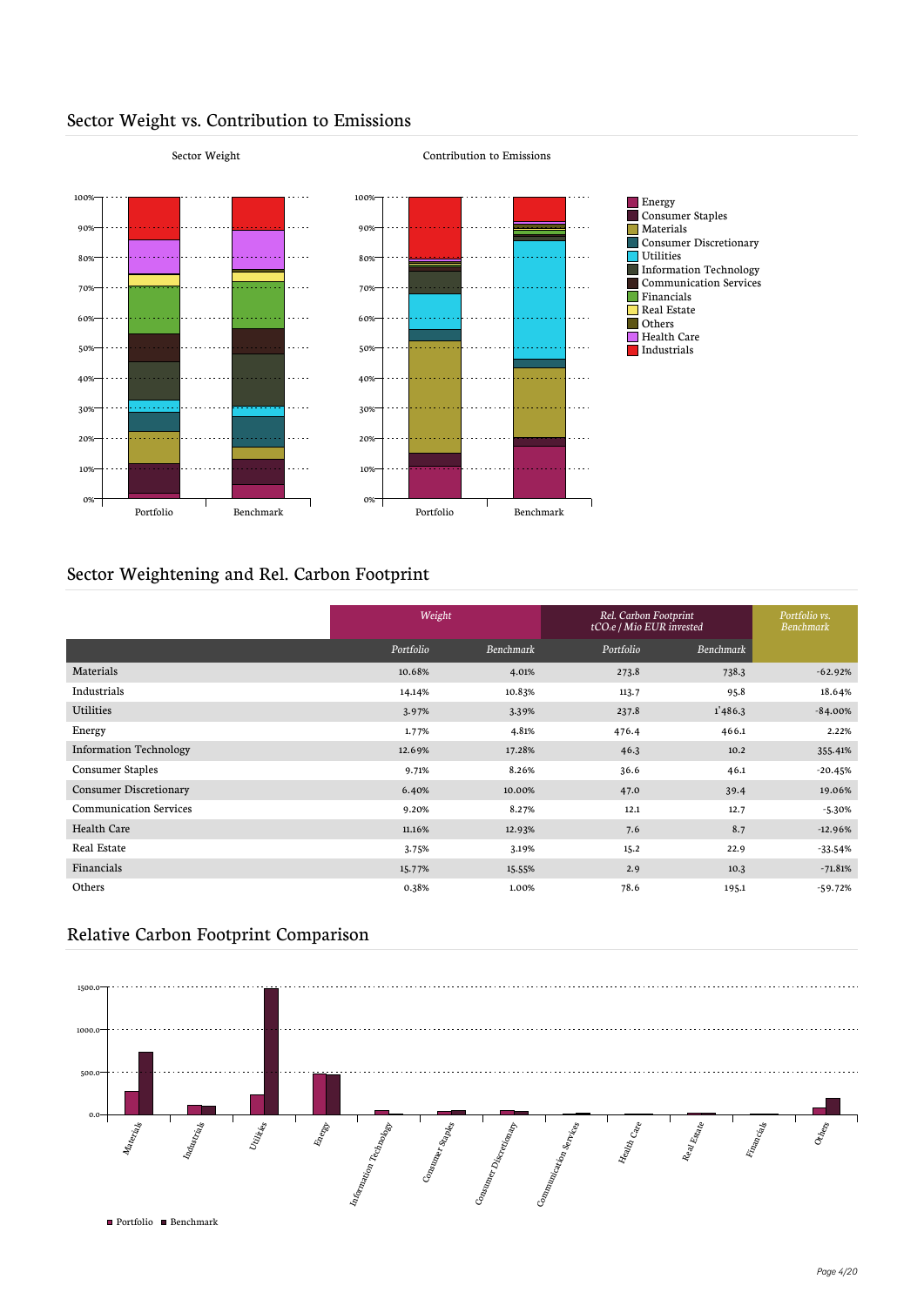

#### Sector Weight vs. Contribution to Emissions

## Sector Weightening and Rel. Carbon Footprint

|                               | Weight    |           | Rel. Carbon Footprint<br>tCO <sub>2</sub> e / Mio EUR invested | Portfolio vs.<br><b>Benchmark</b> |           |
|-------------------------------|-----------|-----------|----------------------------------------------------------------|-----------------------------------|-----------|
|                               | Portfolio | Benchmark | Portfolio                                                      | Benchmark                         |           |
| Materials                     | 10.68%    | 4.01%     | 273.8                                                          | 738.3                             | $-62.92%$ |
| Industrials                   | 14.14%    | 10.83%    | 113.7                                                          | 95.8                              | 18.64%    |
| Utilities                     | 3.97%     | 3.39%     | 237.8                                                          | 1'486.3                           | $-84.00%$ |
| Energy                        | 1.77%     | 4.81%     | 476.4                                                          | 466.1                             | 2.22%     |
| <b>Information Technology</b> | 12.69%    | 17.28%    | 46.3                                                           | 10.2                              | 355.41%   |
| <b>Consumer Staples</b>       | 9.71%     | 8.26%     | 36.6                                                           | 46.1                              | $-20.45%$ |
| <b>Consumer Discretionary</b> | 6.40%     | 10.00%    | 47.0                                                           | 39.4                              | 19.06%    |
| <b>Communication Services</b> | 9.20%     | 8.27%     | 12.1                                                           | 12.7                              | $-5.30%$  |
| Health Care                   | 11.16%    | 12.93%    | 7.6                                                            | 8.7                               | $-12.96%$ |
| Real Estate                   | 3.75%     | 3.19%     | 15.2                                                           | 22.9                              | $-33.54%$ |
| Financials                    | 15.77%    | 15.55%    | 2.9                                                            | 10.3                              | $-71.81%$ |
| Others                        | 0.38%     | 1.00%     | 78.6                                                           | 195.1                             | $-59.72%$ |

#### Relative Carbon Footprint Comparison

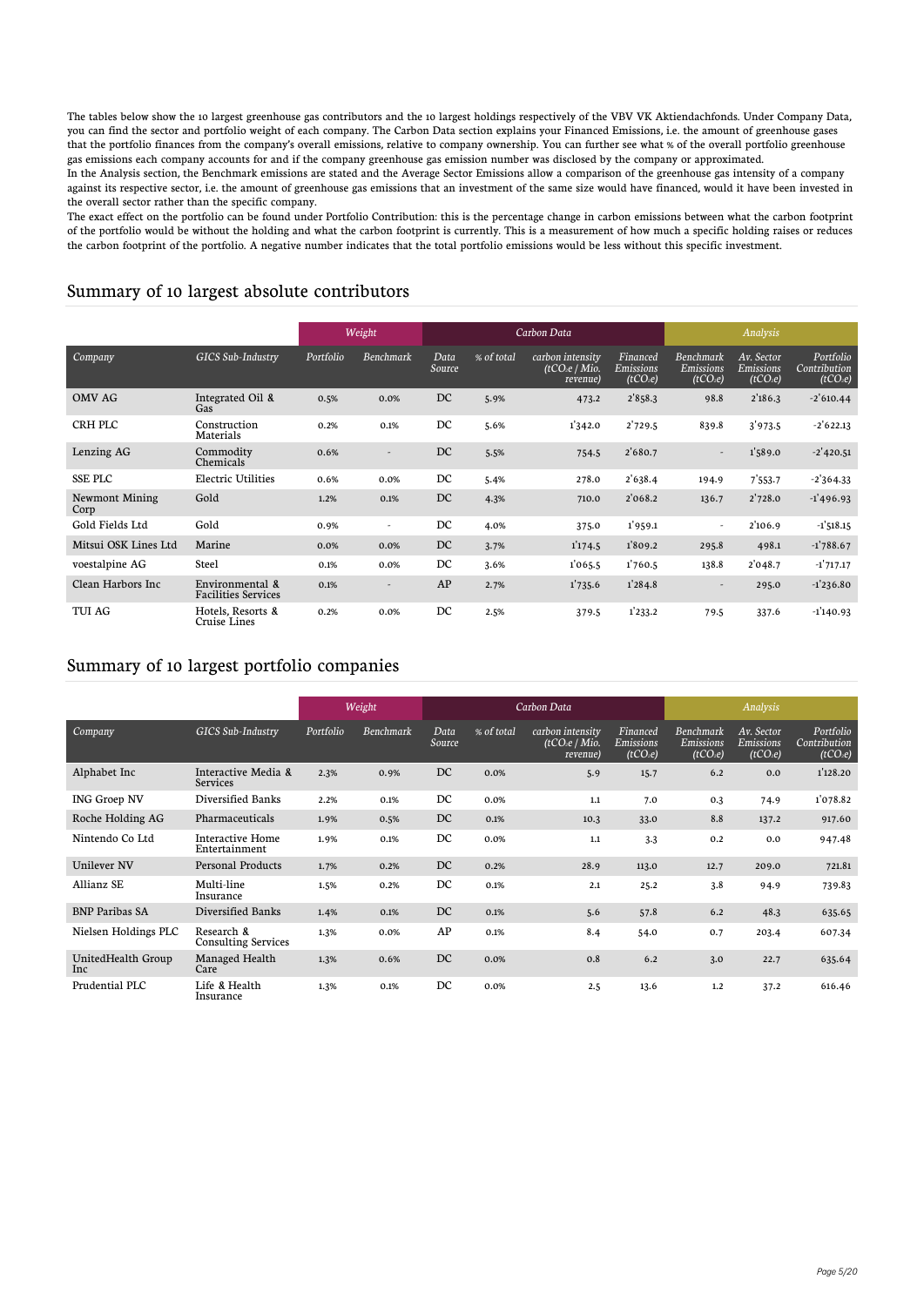The tables below show the 10 largest greenhouse gas contributors and the 10 largest holdings respectively of the VBV VK Aktiendachfonds. Under Company Data, you can find the sector and portfolio weight of each company. The Carbon Data section explains your Financed Emissions, i.e. the amount of greenhouse gases that the portfolio finances from the company's overall emissions, relative to company ownership. You can further see what % of the overall portfolio greenhouse gas emissions each company accounts for and if the company greenhouse gas emission number was disclosed by the company or approximated. In the Analysis section, the Benchmark emissions are stated and the Average Sector Emissions allow a comparison of the greenhouse gas intensity of a company against its respective sector, i.e. the amount of greenhouse gas emissions that an investment of the same size would have financed, would it have been invested in the overall sector rather than the specific company.

The exact effect on the portfolio can be found under Portfolio Contribution: this is the percentage change in carbon emissions between what the carbon footprint of the portfolio would be without the holding and what the carbon footprint is currently. This is a measurement of how much a specific holding raises or reduces the carbon footprint of the portfolio. A negative number indicates that the total portfolio emissions would be less without this specific investment.

#### Summary of 10 largest absolute contributors

|                               |                                               |           | Weight                   | Carbon Data    |            |                                               |                                               |                                                       | Analysis                                        |                                                   |  |
|-------------------------------|-----------------------------------------------|-----------|--------------------------|----------------|------------|-----------------------------------------------|-----------------------------------------------|-------------------------------------------------------|-------------------------------------------------|---------------------------------------------------|--|
| Company                       | <b>GICS Sub-Industry</b>                      | Portfolio | Benchmark                | Data<br>Source | % of total | carbon intensity<br>(tCO2e / Mio.<br>revenue) | Financed<br>Emissions<br>(tCO <sub>2</sub> e) | <b>Benchmark</b><br>Emissions<br>(tCO <sub>2</sub> e) | Av. Sector<br>Emissions<br>(tCO <sub>2</sub> e) | Portfolio<br>Contribution<br>(tCO <sub>2</sub> e) |  |
| <b>OMV AG</b>                 | Integrated Oil &<br>Gas                       | 0.5%      | 0.0%                     | DC             | 5.9%       | 473.2                                         | 2'858.3                                       | 98.8                                                  | 2'186.3                                         | $-2'610.44$                                       |  |
| CRH PLC                       | Construction<br>Materials                     | 0.2%      | 0.1%                     | DC             | 5.6%       | 1'342.0                                       | 2'729.5                                       | 839.8                                                 | 3'973.5                                         | $-2'622.13$                                       |  |
| Lenzing AG                    | Commodity<br>Chemicals                        | 0.6%      | $\overline{\phantom{a}}$ | DC             | 5.5%       | 754.5                                         | 2'680.7                                       | $\overline{\phantom{0}}$                              | 1'589.0                                         | $-2'$ 420.51                                      |  |
| <b>SSE PLC</b>                | Electric Utilities                            | 0.6%      | 0.0%                     | DC             | 5.4%       | 278.0                                         | 2'638.4                                       | 194.9                                                 | 7'553.7                                         | $-2'364.33$                                       |  |
| <b>Newmont Mining</b><br>Corp | Gold                                          | 1.2%      | 0.1%                     | DC             | 4.3%       | 710.0                                         | 2'068.2                                       | 136.7                                                 | 2'728.0                                         | $-1'$ 496.93                                      |  |
| Gold Fields Ltd               | Gold                                          | 0.9%      | $\overline{\phantom{a}}$ | DC             | 4.0%       | 375.0                                         | 1'959.1                                       | $\overline{\phantom{0}}$                              | 2'106.9                                         | $-1'518.15$                                       |  |
| Mitsui OSK Lines Ltd          | Marine                                        | 0.0%      | 0.0%                     | DC             | 3.7%       | 1'174.5                                       | 1809.2                                        | 295.8                                                 | 498.1                                           | $-1'788.67$                                       |  |
| voestalpine AG                | <b>Steel</b>                                  | 0.1%      | 0.0%                     | DC             | 3.6%       | 1'065.5                                       | 1'760.5                                       | 138.8                                                 | 2'048.7                                         | $-1'717.17$                                       |  |
| Clean Harbors Inc             | Environmental &<br><b>Facilities Services</b> | 0.1%      | $\overline{\phantom{a}}$ | AP             | 2.7%       | 1'735.6                                       | 1'284.8                                       | $\overline{\phantom{0}}$                              | 295.0                                           | $-1'236.80$                                       |  |
| TUI AG                        | Hotels. Resorts &<br>Cruise Lines             | 0.2%      | 0.0%                     | DC             | 2.5%       | 379.5                                         | 1'233.2                                       | 79.5                                                  | 337.6                                           | $-1'140.93$                                       |  |

#### Summary of 10 largest portfolio companies

|                            |                                          |           | Weight    |                |            | Carbon Data                                   |                                               |                                                       | Analysis                                               |                                                   |
|----------------------------|------------------------------------------|-----------|-----------|----------------|------------|-----------------------------------------------|-----------------------------------------------|-------------------------------------------------------|--------------------------------------------------------|---------------------------------------------------|
| Company                    | GICS Sub-Industry                        | Portfolio | Benchmark | Data<br>Source | % of total | carbon intensity<br>(tCO2e / Mio.<br>revenue) | Financed<br>Emissions<br>(tCO <sub>2</sub> e) | <b>Benchmark</b><br>Emissions<br>(tCO <sub>2</sub> e) | Av. Sector<br><b>Emissions</b><br>(tCO <sub>2</sub> e) | Portfolio<br>Contribution<br>(tCO <sub>2</sub> e) |
| Alphabet Inc               | Interactive Media &<br>Services          | 2.3%      | 0.9%      | DC             | 0.0%       | 5.9                                           | 15.7                                          | 6.2                                                   | 0.0                                                    | 1'128.20                                          |
| <b>ING Groep NV</b>        | Diversified Banks                        | 2.2%      | 0.1%      | DC             | 0.0%       | 1.1                                           | 7.0                                           | 0.3                                                   | 74.9                                                   | 1'078.82                                          |
| Roche Holding AG           | Pharmaceuticals                          | 1.9%      | 0.5%      | DC             | 0.1%       | 10.3                                          | 33.0                                          | 8.8                                                   | 137.2                                                  | 917.60                                            |
| Nintendo Co Ltd            | Interactive Home<br>Entertainment        | 1.9%      | 0.1%      | DC             | 0.0%       | $1.1$                                         | 3.3                                           | 0.2                                                   | 0.0                                                    | 947.48                                            |
| <b>Unilever NV</b>         | <b>Personal Products</b>                 | 1.7%      | 0.2%      | DC             | 0.2%       | 28.9                                          | 113.0                                         | 12.7                                                  | 209.0                                                  | 721.81                                            |
| Allianz SE                 | Multi-line<br>Insurance                  | 1.5%      | 0.2%      | DC             | 0.1%       | 2.1                                           | 25.2                                          | 3.8                                                   | 94.9                                                   | 739.83                                            |
| <b>BNP Paribas SA</b>      | Diversified Banks                        | 1.4%      | 0.1%      | DC             | 0.1%       | 5.6                                           | 57.8                                          | 6.2                                                   | 48.3                                                   | 635.65                                            |
| Nielsen Holdings PLC       | Research &<br><b>Consulting Services</b> | 1.3%      | 0.0%      | AP             | 0.1%       | 8.4                                           | 54.0                                          | 0.7                                                   | 203.4                                                  | 607.34                                            |
| UnitedHealth Group<br>Inc. | Managed Health<br>Care                   | 1.3%      | 0.6%      | DC             | 0.0%       | 0.8                                           | 6.2                                           | 3.0                                                   | 22.7                                                   | 635.64                                            |
| Prudential PLC             | Life & Health<br>Insurance               | 1.3%      | 0.1%      | DC             | 0.0%       | 2.5                                           | 13.6                                          | 1,2                                                   | 37.2                                                   | 616.46                                            |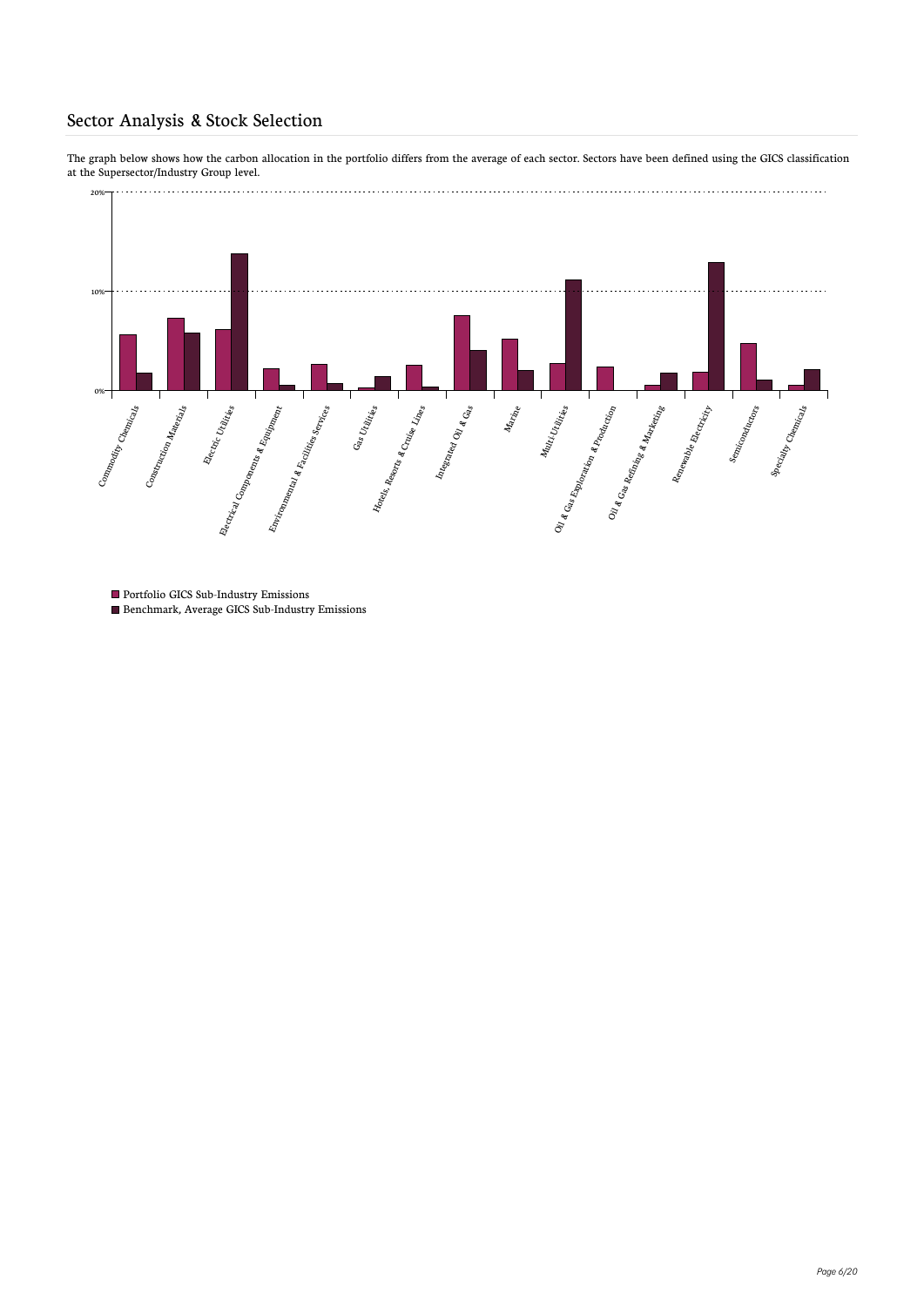#### Sector Analysis & Stock Selection

The graph below shows how the carbon allocation in the portfolio differs from the average of each sector. Sectors have been defined using the GICS classification at the Supersector/Industry Group level.



- $\blacksquare$  <br> Portfolio GICS Sub-Industry Emissions
- Benchmark, Average GICS Sub-Industry Emissions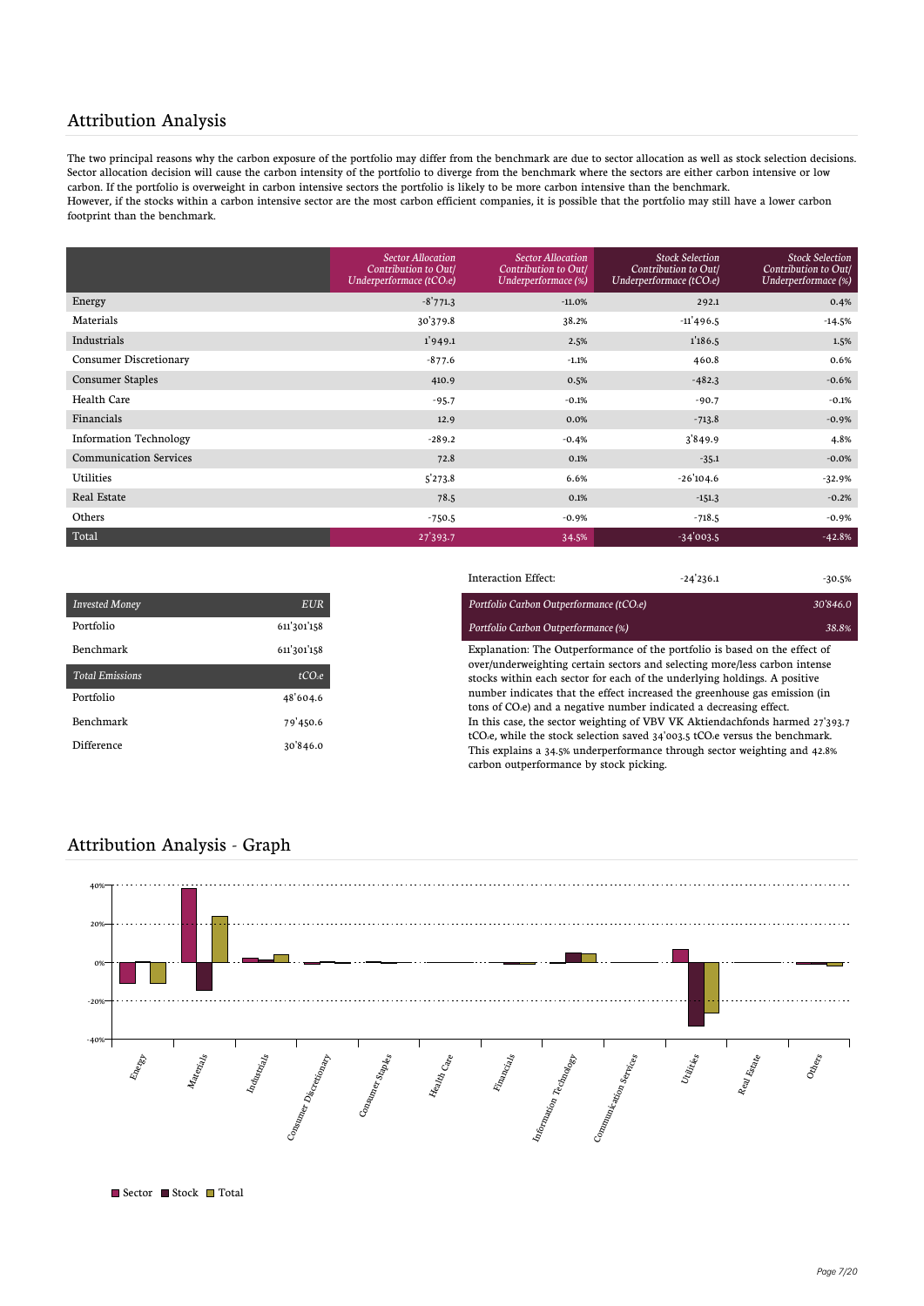#### Attribution Analysis

The two principal reasons why the carbon exposure of the portfolio may differ from the benchmark are due to sector allocation as well as stock selection decisions. Sector allocation decision will cause the carbon intensity of the portfolio to diverge from the benchmark where the sectors are either carbon intensive or low carbon. If the portfolio is overweight in carbon intensive sectors the portfolio is likely to be more carbon intensive than the benchmark. However, if the stocks within a carbon intensive sector are the most carbon efficient companies, it is possible that the portfolio may still have a lower carbon footprint than the benchmark.

|                               | <b>Sector Allocation</b><br>Contribution to Out/<br>Underperformace (tCO <sub>2</sub> e) | <b>Sector Allocation</b><br><b>Contribution to Out/</b><br>Underperformace (%) | <b>Stock Selection</b><br>Contribution to Out/<br>Underperformace ( $tCO2e$ ) | <b>Stock Selection</b><br>Contribution to Out/<br>Underperformace (%) |
|-------------------------------|------------------------------------------------------------------------------------------|--------------------------------------------------------------------------------|-------------------------------------------------------------------------------|-----------------------------------------------------------------------|
| Energy                        | $-8'771.3$                                                                               | $-11.0%$                                                                       | 292.1                                                                         | 0.4%                                                                  |
| Materials                     | 30'379.8                                                                                 | 38.2%                                                                          | $-11'496.5$                                                                   | $-14.5%$                                                              |
| Industrials                   | 1'949.1                                                                                  | 2.5%                                                                           | 1'186.5                                                                       | 1.5%                                                                  |
| <b>Consumer Discretionary</b> | $-877.6$                                                                                 | $-1.1%$                                                                        | 460.8                                                                         | 0.6%                                                                  |
| <b>Consumer Staples</b>       | 410.9                                                                                    | 0.5%                                                                           | $-482.3$                                                                      | $-0.6%$                                                               |
| Health Care                   | $-95.7$                                                                                  | $-0.1%$                                                                        | $-90.7$                                                                       | $-0.1%$                                                               |
| Financials                    | 12.9                                                                                     | 0.0%                                                                           | $-713.8$                                                                      | $-0.9%$                                                               |
| <b>Information Technology</b> | $-289.2$                                                                                 | $-0.4%$                                                                        | 3'849.9                                                                       | 4.8%                                                                  |
| <b>Communication Services</b> | 72.8                                                                                     | 0.1%                                                                           | $-35.1$                                                                       | $-0.0%$                                                               |
| <b>Utilities</b>              | 5'273.8                                                                                  | 6.6%                                                                           | $-26'104.6$                                                                   | $-32.9%$                                                              |
| Real Estate                   | 78.5                                                                                     | 0.1%                                                                           | $-151.3$                                                                      | $-0.2%$                                                               |
| Others                        | $-750.5$                                                                                 | $-0.9%$                                                                        | $-718.5$                                                                      | $-0.9%$                                                               |
| Total                         | 27'393.7                                                                                 | 34.5%                                                                          | $-34'003.5$                                                                   | $-42.8%$                                                              |

| <b>Invested Money</b>  | EUR                |
|------------------------|--------------------|
| Portfolio              | 611'301'158        |
| Benchmark              | 611'301'158        |
| <b>Total Emissions</b> | tCO <sub>2</sub> e |
| Portfolio              | 48'604.6           |
| Benchmark              | 79'450.6           |
| Difference             | 30'846.0           |

|                        |                    | Interaction Effect:                                                                                                                                     | $-24'236.1$ | $-30.5%$ |  |  |  |
|------------------------|--------------------|---------------------------------------------------------------------------------------------------------------------------------------------------------|-------------|----------|--|--|--|
| <b>Invested Money</b>  | <b>EUR</b>         | Portfolio Carbon Outperformance (tCO2e)                                                                                                                 |             | 30'846.0 |  |  |  |
| Portfolio              | 611'301'158        | Portfolio Carbon Outperformance (%)                                                                                                                     |             | 38.8%    |  |  |  |
| Benchmark              | 611'301'158        | Explanation: The Outperformance of the portfolio is based on the effect of                                                                              |             |          |  |  |  |
| <b>Total Emissions</b> | tCO <sub>2</sub> e | over/underweighting certain sectors and selecting more/less carbon intense<br>stocks within each sector for each of the underlying holdings. A positive |             |          |  |  |  |
| Portfolio              | 48'604.6           | number indicates that the effect increased the greenhouse gas emission (in<br>tons of CO.e) and a negative number indicated a decreasing effect.        |             |          |  |  |  |
| Benchmark              | 79'450.6           | In this case, the sector weighting of VBV VK Aktiendachfonds harmed 27'393.7                                                                            |             |          |  |  |  |
| Difference             | 30'846.0           | tCO <sub>2</sub> e, while the stock selection saved $34'003.5$ tCO <sub>2</sub> e versus the benchmark.                                                 |             |          |  |  |  |
|                        |                    | This explains a 34.5% underperformance through sector weighting and 42.8%<br>carbon outperformance by stock picking.                                    |             |          |  |  |  |

#### Attribution Analysis - Graph



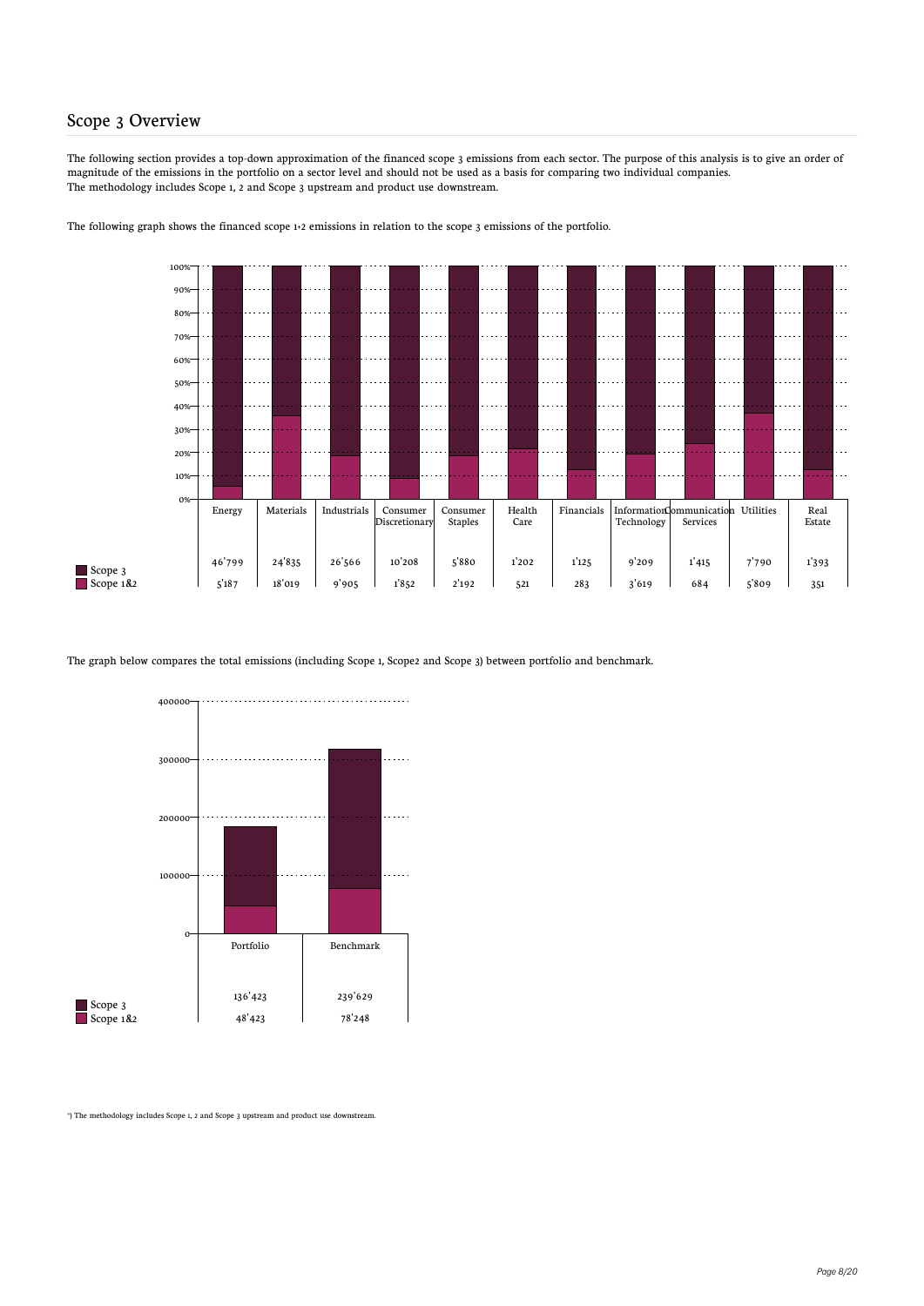#### Scope 3 Overview

The following section provides a top-down approximation of the financed scope 3 emissions from each sector. The purpose of this analysis is to give an order of magnitude of the emissions in the portfolio on a sector level and should not be used as a basis for comparing two individual companies. The methodology includes Scope 1, 2 and Scope 3 upstream and product use downstream.





The graph below compares the total emissions (including Scope 1, Scope2 and Scope 3) between portfolio and benchmark.



\*) The methodology includes Scope 1, 2 and Scope 3 upstream and product use downstream.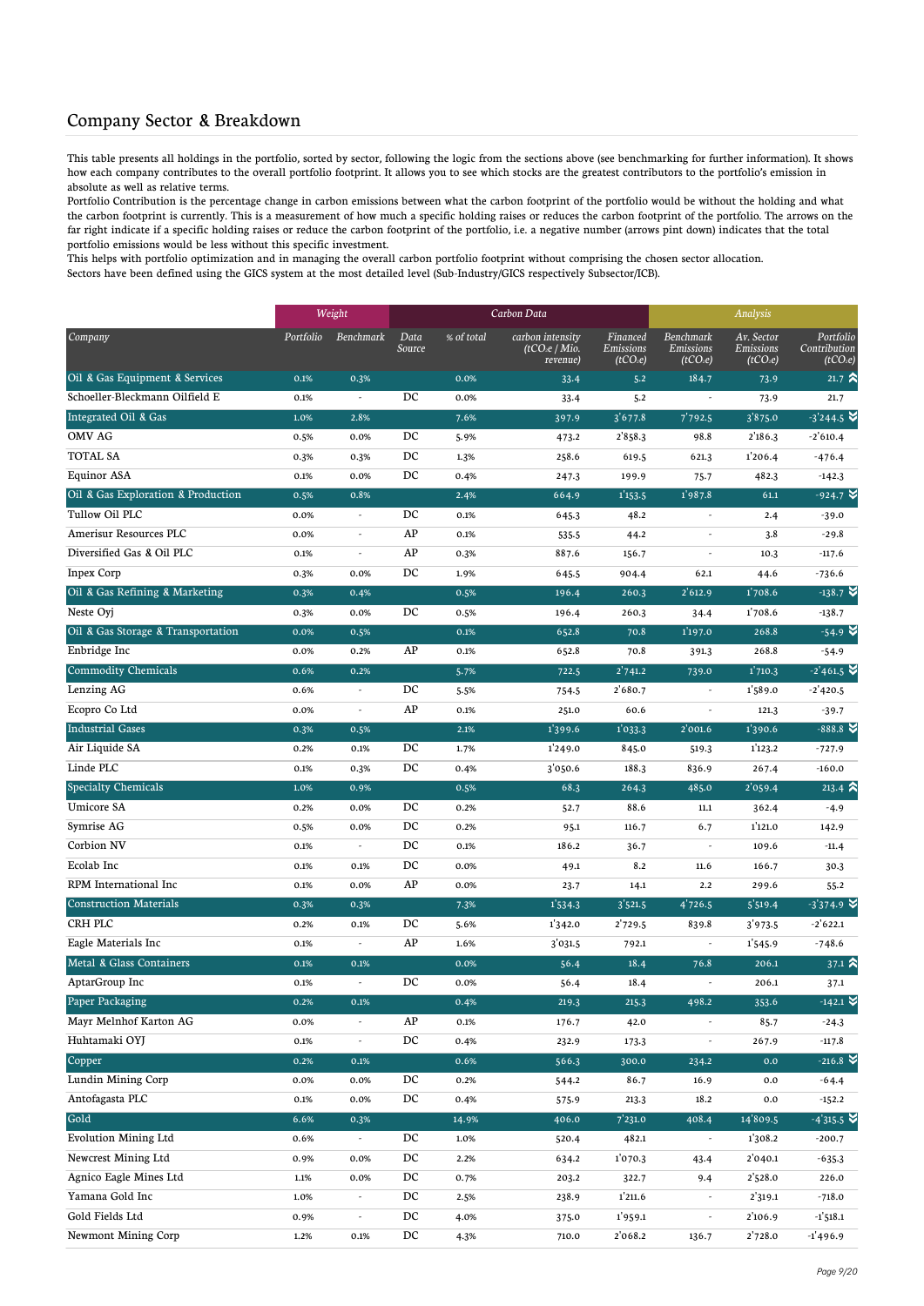#### Company Sector & Breakdown

This table presents all holdings in the portfolio, sorted by sector, following the logic from the sections above (see benchmarking for further information). It shows how each company contributes to the overall portfolio footprint. It allows you to see which stocks are the greatest contributors to the portfolio's emission in absolute as well as relative terms.

Portfolio Contribution is the percentage change in carbon emissions between what the carbon footprint of the portfolio would be without the holding and what the carbon footprint is currently. This is a measurement of how much a specific holding raises or reduces the carbon footprint of the portfolio. The arrows on the far right indicate if a specific holding raises or reduce the carbon footprint of the portfolio, i.e. a negative number (arrows pint down) indicates that the total portfolio emissions would be less without this specific investment.

This helps with portfolio optimization and in managing the overall carbon portfolio footprint without comprising the chosen sector allocation. Sectors have been defined using the GICS system at the most detailed level (Sub-Industry/GICS respectively Subsector/ICB).

|                                    |           | Weight                   |                  |            | Carbon Data                                   |                                               |                                                | Analysis                                        |                                              |
|------------------------------------|-----------|--------------------------|------------------|------------|-----------------------------------------------|-----------------------------------------------|------------------------------------------------|-------------------------------------------------|----------------------------------------------|
| Company                            | Portfolio | Benchmark                | Data<br>Source   | % of total | carbon intensity<br>(tCO2e / Mio.<br>revenue) | Financed<br>Emissions<br>(tCO <sub>2</sub> e) | Benchmark<br>Emissions<br>(tCO <sub>2</sub> e) | Av. Sector<br>Emissions<br>(tCO <sub>2</sub> e) | Portfolio<br>Contribution<br><u>(t</u> CO2e) |
| Oil & Gas Equipment & Services     | 0.1%      | 0.3%                     |                  | 0.0%       | 33.4                                          | 5.2                                           | 184.7                                          | 73.9                                            | $21.7 \times$                                |
| Schoeller-Bleckmann Oilfield E     | 0.1%      | $\overline{\phantom{a}}$ | DC               | 0.0%       | 33.4                                          | 5.2                                           | $\overline{\phantom{a}}$                       | 73.9                                            | 21.7                                         |
| Integrated Oil & Gas               | 1.0%      | 2.8%                     |                  | 7.6%       | 397.9                                         | 3'677.8                                       | 7'792.5                                        | 3'875.0                                         | $-3'244.5$                                   |
| <b>OMV AG</b>                      | 0.5%      | 0.0%                     | DC               | 5.9%       | 473.2                                         | 2858.3                                        | 98.8                                           | 2'186.3                                         | $-2'610.4$                                   |
| <b>TOTAL SA</b>                    | 0.3%      | 0.3%                     | DC               | 1.3%       | 258.6                                         | 619.5                                         | 621.3                                          | 1'206.4                                         | $-476.4$                                     |
| <b>Equinor ASA</b>                 | 0.1%      | 0.0%                     | DC               | 0.4%       | 247.3                                         | 199.9                                         | 75.7                                           | 482.3                                           | $-142.3$                                     |
| Oil & Gas Exploration & Production | 0.5%      | 0.8%                     |                  | 2.4%       | 664.9                                         | 1'153.5                                       | 1'987.8                                        | 61.1                                            | $-924.7$ $\approx$                           |
| Tullow Oil PLC                     | 0.0%      | $\overline{\phantom{a}}$ | DC               | 0.1%       | 645.3                                         | 48.2                                          | $\overline{\phantom{a}}$                       | 2.4                                             | $-39.0$                                      |
| Amerisur Resources PLC             | 0.0%      | $\overline{\phantom{a}}$ | AP               | 0.1%       | 535.5                                         | 44.2                                          |                                                | 3.8                                             | $-29.8$                                      |
| Diversified Gas & Oil PLC          | 0.1%      | $\overline{\phantom{a}}$ | AP               | 0.3%       | 887.6                                         | 156.7                                         |                                                | 10.3                                            | $-117.6$                                     |
| <b>Inpex Corp</b>                  | 0.3%      | 0.0%                     | DC               | 1.9%       | 645.5                                         | 904.4                                         | 62.1                                           | 44.6                                            | $-736.6$                                     |
| Oil & Gas Refining & Marketing     | 0.3%      | 0.4%                     |                  | 0.5%       | 196.4                                         | 260.3                                         | 2'612.9                                        | 1'708.6                                         | $-138.7$ $\vee$                              |
| Neste Oyj                          | 0.3%      | 0.0%                     | DC               | 0.5%       | 196.4                                         | 260.3                                         | 34.4                                           | 1'708.6                                         | $-138.7$                                     |
| Oil & Gas Storage & Transportation | 0.0%      | 0.5%                     |                  | 0.1%       | 652.8                                         | 70.8                                          | 1'197.0                                        | 268.8                                           | $-54.9$ $\triangleright$                     |
| Enbridge Inc                       | 0.0%      | 0.2%                     | AP               | 0.1%       | 652.8                                         | 70.8                                          | 391.3                                          | 268.8                                           | $-54.9$                                      |
| <b>Commodity Chemicals</b>         | 0.6%      | 0.2%                     |                  | 5.7%       | 722.5                                         | 2'741.2                                       | 739.0                                          | 1'710.3                                         | $-2'461.5$ $\bullet$                         |
| Lenzing AG                         | 0.6%      | $\overline{\phantom{a}}$ | DC               | 5.5%       | 754.5                                         | 2'680.7                                       |                                                | 1'589.0                                         | $-2'$ 420.5                                  |
| Ecopro Co Ltd                      | 0.0%      | $\overline{\phantom{a}}$ | AP               | 0.1%       | 251.0                                         | 60.6                                          | ٠                                              | 121.3                                           | $-39.7$                                      |
| <b>Industrial Gases</b>            | 0.3%      | 0.5%                     |                  | 2.1%       | 1'399.6                                       | 1'033.3                                       | 2'001.6                                        | 1'390.6                                         | $-888.8$ $\blacktriangleright$               |
| Air Liquide SA                     | 0.2%      | 0.1%                     | DC               | 1.7%       | 1'249.0                                       | 845.0                                         | 519.3                                          | 1'123.2                                         | $-727.9$                                     |
| Linde PLC                          | 0.1%      | 0.3%                     | DC               | 0.4%       | 3'050.6                                       | 188.3                                         | 836.9                                          | 267.4                                           | $-160.0$                                     |
| <b>Specialty Chemicals</b>         | 1.0%      | 0.9%                     |                  | 0.5%       | 68.3                                          | 264.3                                         | 485.0                                          | 2'059.4                                         | $213.4$ $\approx$                            |
| Umicore SA                         | 0.2%      | 0.0%                     | DC               | 0.2%       | 52.7                                          | 88.6                                          | $11.1\,$                                       | 362.4                                           | $-4.9$                                       |
| Symrise AG                         | 0.5%      | 0.0%                     | DC               | 0.2%       | 95.1                                          | 116.7                                         | 6.7                                            | 1'121.0                                         | 142.9                                        |
| Corbion NV                         | 0.1%      | $\overline{\phantom{a}}$ | DC               | 0.1%       | 186.2                                         | 36.7                                          | $\overline{\phantom{a}}$                       | 109.6                                           | $-11.4$                                      |
| Ecolab Inc                         | 0.1%      | 0.1%                     | DC               | 0.0%       | 49.1                                          | 8.2                                           | 11.6                                           | 166.7                                           | 30.3                                         |
| RPM International Inc              | 0.1%      | 0.0%                     | AP               | 0.0%       | 23.7                                          | 14.1                                          | 2.2                                            | 299.6                                           | 55.2                                         |
| <b>Construction Materials</b>      | 0.3%      | 0.3%                     |                  | 7.3%       | 1'534.3                                       | 3'521.5                                       | 4'726.5                                        | 5'519.4                                         | $-3'374.9$                                   |
| CRH PLC                            | 0.2%      | 0.1%                     | DC               | 5.6%       | 1'342.0                                       | 2'729.5                                       | 839.8                                          | 3'973.5                                         | $-2'622.1$                                   |
| Eagle Materials Inc                | 0.1%      | $\overline{\phantom{a}}$ | AP               | 1.6%       | 3'031.5                                       | 792.1                                         |                                                | 1'545.9                                         | $-748.6$                                     |
| Metal & Glass Containers           | 0.1%      | 0.1%                     |                  | 0.0%       | 56.4                                          | 18.4                                          | 76.8                                           | 206.1                                           | 37.1 $\hat{ }$                               |
| AptarGroup Inc                     | 0.1%      | $\overline{\phantom{a}}$ | DC               | 0.0%       | 56.4                                          | 18.4                                          | $\overline{\phantom{a}}$                       | 206.1                                           | 37.1                                         |
| <b>Paper Packaging</b>             | 0.2%      | $0.1\%$                  |                  | 0.4%       | 219.3                                         | 215.3                                         | 498.2                                          | 353.6                                           | $-142.1$ $\blacktriangleright$               |
| Mayr Melnhof Karton AG             | 0.0%      | $\overline{\phantom{a}}$ | ${\rm AP}$       | 0.1%       | 176.7                                         | 42.0                                          |                                                | 85.7                                            | $-24.3$                                      |
| Huhtamaki OYJ                      | 0.1%      | $\overline{\phantom{a}}$ | $_{\rm DC}$      | 0.4%       | 232.9                                         | 173.3                                         | $\overline{\phantom{a}}$                       | 267.9                                           | $-117.8$                                     |
| Copper                             | 0.2%      | 0.1%                     |                  | 0.6%       | 566.3                                         | 300.0                                         | 234.2                                          | 0.0                                             | $-216.8$ $\blacktriangleright$               |
| Lundin Mining Corp                 | 0.0%      | 0.0%                     | DC               | 0.2%       | 544.2                                         | 86.7                                          | 16.9                                           | 0.0                                             | $-64.4$                                      |
| Antofagasta PLC                    | 0.1%      | 0.0%                     | DC               | 0.4%       | 575.9                                         | 213.3                                         | 18.2                                           | 0.0                                             | $-152.2$                                     |
| Gold                               | 6.6%      | 0.3%                     |                  | 14.9%      | 406.0                                         | 7'231.0                                       | 408.4                                          | 14'809.5                                        | $-4'315.5$ $\blacktriangleright$             |
| <b>Evolution Mining Ltd</b>        | 0.6%      | $\sim$                   | $_{\mathrm{DC}}$ | 1.0%       | 520.4                                         | 482.1                                         | $\overline{\phantom{a}}$                       | 1'308.2                                         | $-200.7$                                     |
| Newcrest Mining Ltd                | 0.9%      | 0.0%                     | $_{\rm DC}$      | 2.2%       | 634.2                                         | 1'070.3                                       | 43.4                                           | 2'040.1                                         | $-635.3$                                     |
| Agnico Eagle Mines Ltd             | 1.1%      | 0.0%                     | DC               | 0.7%       | 203.2                                         | 322.7                                         | 9.4                                            | 2'528.0                                         | 226.0                                        |
| Yamana Gold Inc                    | 1.0%      | $\overline{\phantom{a}}$ | DC               | 2.5%       | 238.9                                         | 1'211.6                                       | $\overline{\phantom{a}}$                       | 2'319.1                                         | $-718.0$                                     |
| Gold Fields Ltd                    | 0.9%      | $\overline{\phantom{a}}$ | DC               | 4.0%       | 375.0                                         | 1'959.1                                       | $\overline{\phantom{a}}$                       | 2'106.9                                         | $-1'518.1$                                   |
| Newmont Mining Corp                | 1.2%      | 0.1%                     | DC               | 4.3%       | 710.0                                         | 2'068.2                                       | 136.7                                          | 2'728.0                                         | $-1'$ 496.9                                  |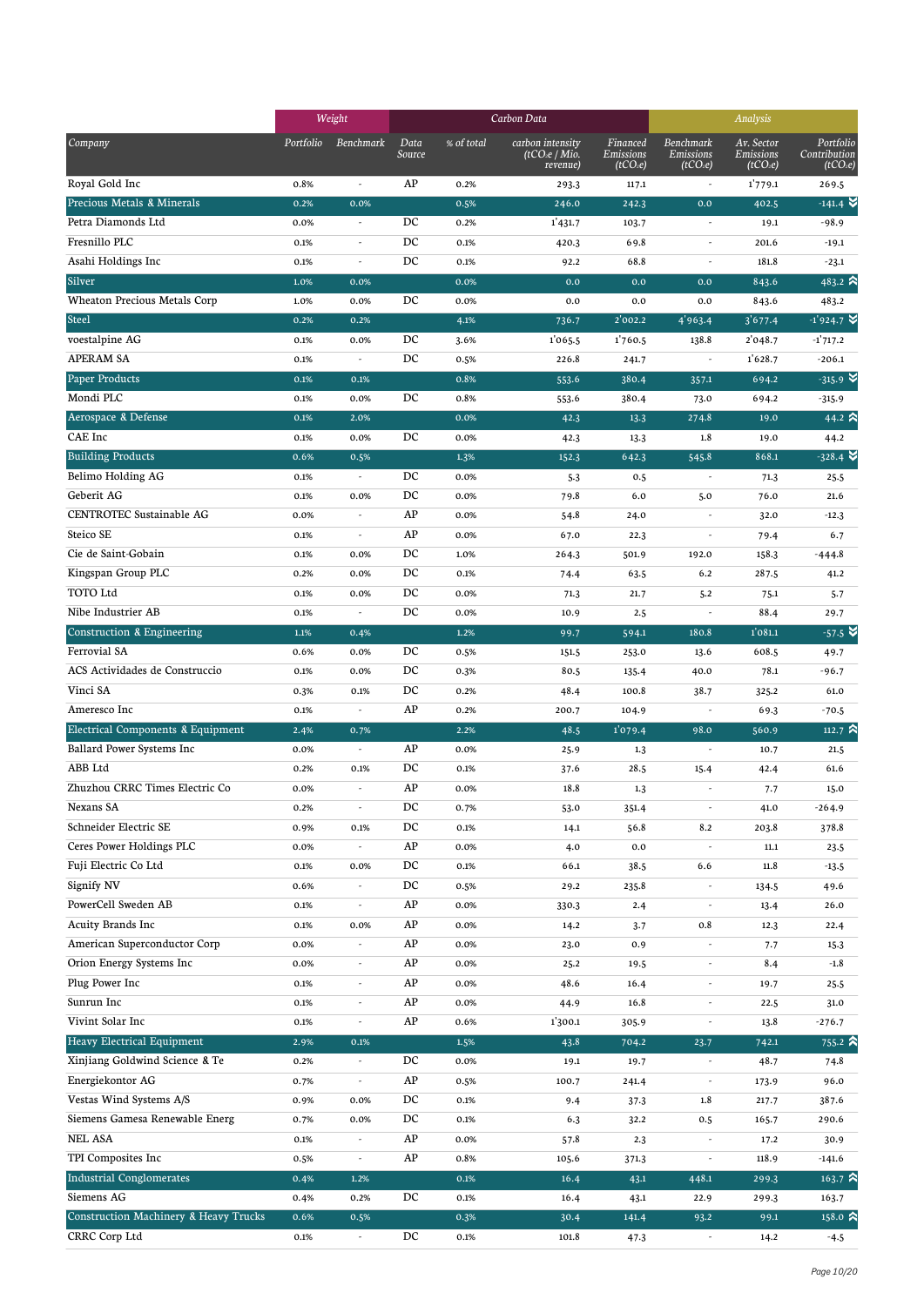|                                                  |           | Weight                   |                |            | Carbon Data                                              |                                               |                                                       | Analysis                                        |                                                   |
|--------------------------------------------------|-----------|--------------------------|----------------|------------|----------------------------------------------------------|-----------------------------------------------|-------------------------------------------------------|-------------------------------------------------|---------------------------------------------------|
| Company                                          | Portfolio | <b>Benchmark</b>         | Data<br>Source | % of total | carbon intensity<br>(tCO <sub>2</sub> e/Mio.<br>revenue) | Financed<br>Emissions<br>(tCO <sub>2</sub> e) | <b>Benchmark</b><br>Emissions<br>(tCO <sub>2</sub> e) | Av. Sector<br>Emissions<br>(tCO <sub>2</sub> e) | Portfolio<br>Contribution<br>(tCO <sub>2</sub> e) |
| Royal Gold Inc                                   | 0.8%      | $\overline{\phantom{a}}$ | AP             | 0.2%       | 293.3                                                    | 117.1                                         | $\overline{\phantom{a}}$                              | 1'779.1                                         | 269.5                                             |
| Precious Metals & Minerals                       | 0.2%      | 0.0%                     |                | 0.5%       | 246.0                                                    | 242.3                                         | 0.0                                                   | 402.5                                           | $-141.4$ $\vee$                                   |
| Petra Diamonds Ltd                               | 0.0%      | ÷,                       | DC             | 0.2%       | 1'431.7                                                  | 103.7                                         | $\overline{\phantom{a}}$                              | 19.1                                            | $-98.9$                                           |
| Fresnillo PLC                                    | 0.1%      | $\overline{a}$           | DC             | 0.1%       | 420.3                                                    | 69.8                                          | $\overline{\phantom{a}}$                              | 201.6                                           | $-19.1$                                           |
| Asahi Holdings Inc                               | 0.1%      | $\overline{\phantom{a}}$ | DC             | 0.1%       | 92.2                                                     | 68.8                                          | $\overline{\phantom{a}}$                              | 181.8                                           | $-23.1$                                           |
| Silver                                           | 1.0%      | 0.0%                     |                | 0.0%       | 0.0                                                      | 0.0                                           | 0.0                                                   | 843.6                                           | 483.2 $\approx$                                   |
| <b>Wheaton Precious Metals Corp</b>              | 1.0%      | 0.0%                     | DC             | 0.0%       | 0.0                                                      | 0.0                                           | 0.0                                                   | 843.6                                           | 483.2                                             |
| <b>Steel</b>                                     | 0.2%      | 0.2%                     |                | 4.1%       | 736.7                                                    | 2'002.2                                       | 4'963.4                                               | 3'677.4                                         | $-1'924.7$ $\blacktriangleright$                  |
| voestalpine AG                                   | 0.1%      | 0.0%                     | DC             | 3.6%       | 1'065.5                                                  | 1'760.5                                       | 138.8                                                 | 2'048.7                                         | $-1'717.2$                                        |
| <b>APERAM SA</b>                                 | 0.1%      | $\overline{\phantom{a}}$ | DC             | 0.5%       | 226.8                                                    | 241.7                                         | $\overline{\phantom{a}}$                              | 1'628.7                                         | $-206.1$                                          |
| Paper Products                                   | 0.1%      | 0.1%                     |                | 0.8%       | 553.6                                                    | 380.4                                         | 357.1                                                 | 694.2                                           | $-315.9$ $\vee$                                   |
| Mondi PLC                                        | 0.1%      | 0.0%                     | DC             | 0.8%       | 553.6                                                    | 380.4                                         | 73.0                                                  | 694.2                                           | $-315.9$                                          |
| Aerospace & Defense                              | 0.1%      | 2.0%                     |                | 0.0%       | 42.3                                                     | 13.3                                          | 274.8                                                 | 19.0                                            | 44.2 $\approx$                                    |
| CAE Inc                                          | 0.1%      | 0.0%                     | DC             | 0.0%       | 42.3                                                     | 13.3                                          | 1.8                                                   | 19.0                                            | 44.2                                              |
| <b>Building Products</b>                         | 0.6%      | 0.5%                     |                | 1.3%       | 152.3                                                    | 642.3                                         | 545.8                                                 | 868.1                                           | $-328.4$                                          |
| Belimo Holding AG                                | 0.1%      | $\overline{\phantom{a}}$ | DC             | 0.0%       | $5-3$                                                    | 0.5                                           | $\sim$                                                | 71.3                                            | 25.5                                              |
| Geberit AG                                       | 0.1%      | 0.0%                     | DC             | 0.0%       | 79.8                                                     | 6.0                                           | 5.0                                                   | 76.0                                            | 21.6                                              |
| CENTROTEC Sustainable AG                         | 0.0%      |                          | AP             | 0.0%       | 54.8                                                     | 24.0                                          |                                                       | 32.0                                            | $-12.3$                                           |
| Steico SE                                        | 0.1%      | $\overline{\phantom{a}}$ | AP             | 0.0%       | 67.0                                                     | 22.3                                          | $\overline{\phantom{a}}$                              | 79.4                                            | 6.7                                               |
| Cie de Saint-Gobain                              | 0.1%      | 0.0%                     | DC             | 1.0%       | 264.3                                                    | 501.9                                         | 192.0                                                 | 158.3                                           | $-444.8$                                          |
| Kingspan Group PLC                               | 0.2%      | 0.0%                     | DC             | 0.1%       | 74.4                                                     | 63.5                                          | 6.2                                                   | 287.5                                           | 41.2                                              |
| TOTO Ltd                                         | 0.1%      | 0.0%                     | DC             | 0.0%       | 71.3                                                     | 21.7                                          | 5.2                                                   | 75.1                                            | 5.7                                               |
| Nibe Industrier AB                               | 0.1%      | $\overline{\phantom{a}}$ | DC             | 0.0%       | 10.9                                                     | 2.5                                           | $\overline{\phantom{a}}$                              | 88.4                                            | 29.7                                              |
| Construction & Engineering                       | 1.1%      | 0.4%                     |                | 1.2%       | 99.7                                                     | 594.1                                         | 180.8                                                 | 1'081.1                                         | $-57.5$ $\approx$                                 |
| Ferrovial SA                                     | 0.6%      | 0.0%                     | DC             | 0.5%       | 151.5                                                    | 253.0                                         | 13.6                                                  | 608.5                                           | 49.7                                              |
| ACS Actividades de Construccio                   | 0.1%      | 0.0%                     | DC             | 0.3%       | 80.5                                                     | 135.4                                         | 40.0                                                  | 78.1                                            | $-96.7$                                           |
| Vinci SA                                         | 0.3%      | 0.1%                     | DC             | 0.2%       | 48.4                                                     | 100.8                                         | 38.7                                                  | 325.2                                           | 61.0                                              |
| Ameresco Inc                                     | 0.1%      |                          | AP             | 0.2%       | 200.7                                                    | 104.9                                         |                                                       | 69.3                                            | $-70.5$                                           |
| Electrical Components & Equipment                | 2.4%      | 0.7%                     |                | 2.2%       | 48.5                                                     | 1'079.4                                       | 98.0                                                  | 560.9                                           | 112.7 $\approx$                                   |
| Ballard Power Systems Inc                        | 0.0%      | $\overline{\phantom{a}}$ | AP             | 0.0%       | 25.9                                                     | 1.3                                           |                                                       | 10.7                                            | 21.5                                              |
| ABB Ltd                                          | 0.2%      | 0.1%                     | DC             | 0.1%       | 37.6                                                     | 28.5                                          | 15.4                                                  | 42.4                                            | 61.6                                              |
| Zhuzhou CRRC Times Electric Co                   | 0.0%      |                          | AP             | 0.0%       | 18.8                                                     | 1.3                                           |                                                       | 7.7                                             | 15.0                                              |
| Nexans SA                                        | 0.2%      | $\overline{\phantom{a}}$ | DC             | 0.7%       | 53.0                                                     | 351.4                                         | $\overline{\phantom{a}}$                              | 41.0                                            | $-264.9$                                          |
| Schneider Electric SE                            | 0.9%      | 0.1%                     | DC             | 0.1%       | 14.1                                                     | 56.8                                          | 8.2                                                   | 203.8                                           | 378.8                                             |
| Ceres Power Holdings PLC                         | 0.0%      | $\overline{\phantom{a}}$ | AP             | 0.0%       | 4.0                                                      | 0.0                                           | $\overline{\phantom{a}}$                              | $11.1\,$                                        | 23.5                                              |
| Fuji Electric Co Ltd                             | 0.1%      | 0.0%                     | DC             | 0.1%       | 66.1                                                     | 38.5                                          | 6.6                                                   | 11.8                                            | $-13.5$                                           |
| Signify NV                                       | 0.6%      |                          | DC             | 0.5%       | 29.2                                                     | 235.8                                         | $\overline{\phantom{a}}$                              | 134.5                                           | 49.6                                              |
| PowerCell Sweden AB                              | 0.1%      | $\overline{a}$           | AP             | 0.0%       | 330.3                                                    | 2.4                                           | $\overline{\phantom{a}}$                              | 13.4                                            | 26.0                                              |
| <b>Acuity Brands Inc</b>                         | 0.1%      | 0.0%                     | AP             | 0.0%       | 14.2                                                     | 3.7                                           | 0.8                                                   | 12.3                                            | 22.4                                              |
| American Superconductor Corp                     | 0.0%      | $\overline{\phantom{a}}$ | AP             | 0.0%       | 23.0                                                     | 0.9                                           |                                                       | 7.7                                             | 15.3                                              |
| Orion Energy Systems Inc                         | 0.0%      | $\overline{\phantom{a}}$ | AP             | 0.0%       | 25.2                                                     | 19.5                                          | $\overline{\phantom{a}}$                              | 8.4                                             | $-1.8$                                            |
| Plug Power Inc                                   | 0.1%      | $\overline{\phantom{a}}$ | AP             | 0.0%       | 48.6                                                     | 16.4                                          | $\overline{\phantom{a}}$                              | 19.7                                            | 25.5                                              |
| Sunrun Inc                                       | 0.1%      | $\overline{\phantom{m}}$ | AP             | 0.0%       | 44.9                                                     | 16.8                                          | $\overline{\phantom{a}}$                              | 22.5                                            | 31.0                                              |
| Vivint Solar Inc                                 | 0.1%      | $\overline{\phantom{a}}$ | AP             | 0.6%       | 1'300.1                                                  | 305.9                                         | $\overline{\phantom{a}}$                              | 13.8                                            | $-276.7$                                          |
| Heavy Electrical Equipment                       | 2.9%      | 0.1%                     |                | 1.5%       | 43.8                                                     | 704.2                                         | 23.7                                                  | 742.1                                           | $755.2$ $\approx$                                 |
| Xinjiang Goldwind Science & Te                   | 0.2%      | $\overline{\phantom{a}}$ | DC             | 0.0%       | 19.1                                                     | 19.7                                          | $\overline{\phantom{a}}$                              | 48.7                                            | 74.8                                              |
| Energiekontor AG                                 | 0.7%      | $\overline{\phantom{a}}$ | AP             | 0.5%       | 100.7                                                    | 241.4                                         | $\overline{\phantom{a}}$                              | 173.9                                           | 96.0                                              |
| Vestas Wind Systems A/S                          | 0.9%      | 0.0%                     | DC             | 0.1%       | 9.4                                                      | 37.3                                          | 1.8                                                   | 217.7                                           | 387.6                                             |
| Siemens Gamesa Renewable Energ                   | 0.7%      | 0.0%                     | DC             | 0.1%       | 6.3                                                      | 32.2                                          | 0.5                                                   | 165.7                                           | 290.6                                             |
| NEL ASA                                          | 0.1%      | $\overline{\phantom{a}}$ | AP             | 0.0%       | 57.8                                                     | 2.3                                           | $\overline{\phantom{a}}$                              | 17.2                                            | 30.9                                              |
| TPI Composites Inc                               | 0.5%      | $\overline{\phantom{a}}$ | AP             | 0.8%       | 105.6                                                    | 371.3                                         | $\overline{\phantom{a}}$                              | 118.9                                           | $-141.6$                                          |
| <b>Industrial Conglomerates</b>                  | 0.4%      | 1.2%                     |                | 0.1%       | 16.4                                                     | 43.1                                          | 448.1                                                 | 299.3                                           | 163.7 $\hat{ }$                                   |
| Siemens AG                                       | 0.4%      | 0.2%                     | DC             | 0.1%       | 16.4                                                     | 43.1                                          | 22.9                                                  | 299.3                                           | 163.7                                             |
| <b>Construction Machinery &amp; Heavy Trucks</b> | 0.6%      | 0.5%                     |                | 0.3%       | 30.4                                                     | 141.4                                         | 93.2                                                  | 99.1                                            | 158.0 $\hat{\mathbf{a}}$                          |
| CRRC Corp Ltd                                    | 0.1%      | $\overline{\phantom{a}}$ | DC             | 0.1%       | 101.8                                                    | 47.3                                          | $\overline{\phantom{a}}$                              | 14.2                                            | $-4.5$                                            |
|                                                  |           |                          |                |            |                                                          |                                               |                                                       |                                                 |                                                   |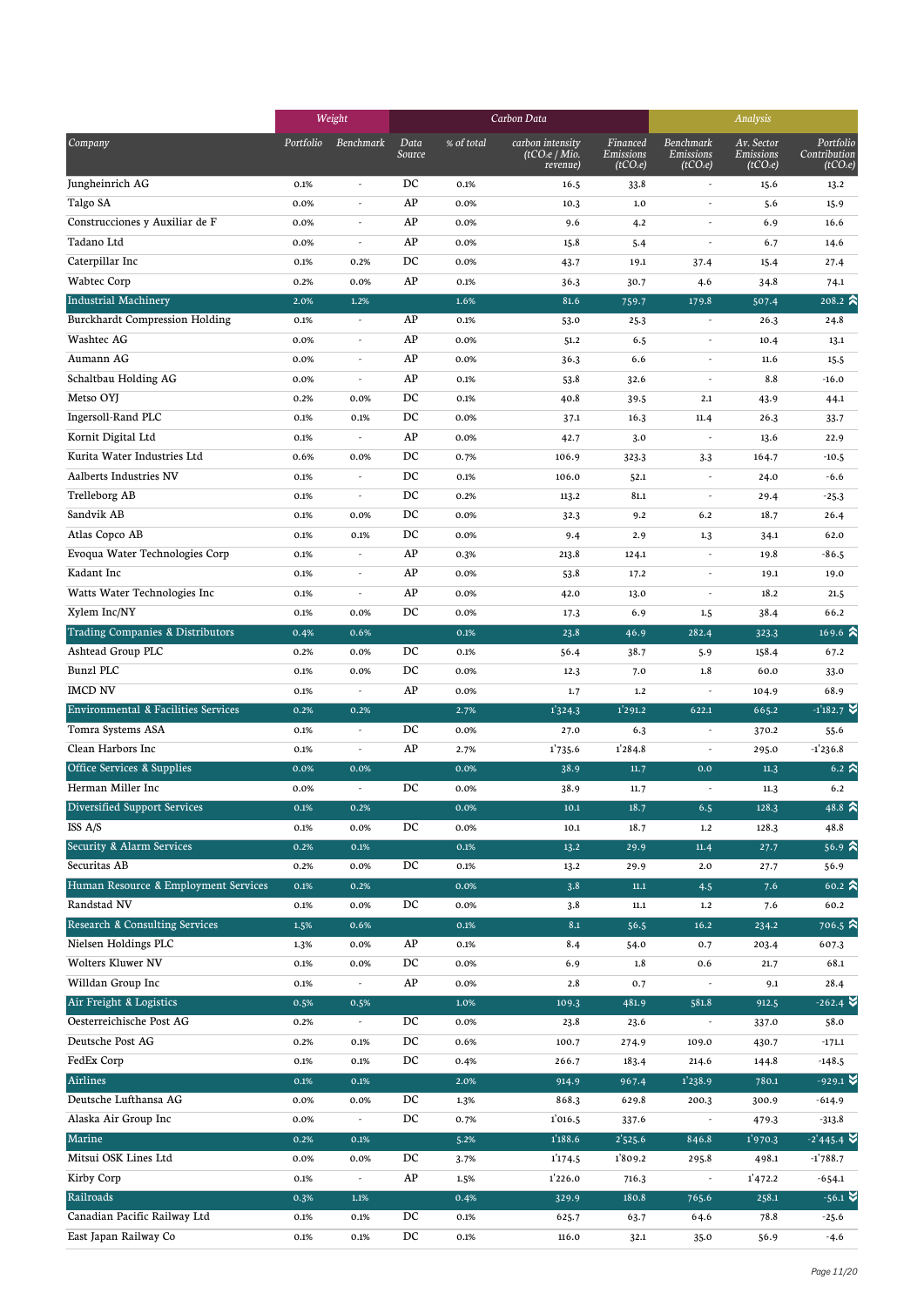|                                                          |              | Weight                   |                |              | Carbon Data                                              | Analysis                                      |                                                       |                                                 |                                                   |
|----------------------------------------------------------|--------------|--------------------------|----------------|--------------|----------------------------------------------------------|-----------------------------------------------|-------------------------------------------------------|-------------------------------------------------|---------------------------------------------------|
| Company                                                  | Portfolio    | Benchmark                | Data<br>Source | % of total   | carbon intensity<br>(tCO <sub>2</sub> e/Mio.<br>revenue) | Financed<br>Emissions<br>(tCO <sub>2</sub> e) | <b>Benchmark</b><br>Emissions<br>(tCO <sub>2</sub> e) | Av. Sector<br>Emissions<br>(tCO <sub>2</sub> e) | Portfolio<br>Contribution<br>(tCO <sub>2</sub> e) |
| Jungheinrich AG                                          | 0.1%         | $\overline{a}$           | DC             | 0.1%         | 16.5                                                     | 33.8                                          | $\overline{\phantom{a}}$                              | 15.6                                            | 13.2                                              |
| Talgo SA                                                 | 0.0%         | ٠                        | AP             | 0.0%         | 10.3                                                     | $1.0$                                         | ٠                                                     | 5.6                                             | 15.9                                              |
| Construcciones y Auxiliar de F                           | 0.0%         | $\overline{a}$           | AP             | 0.0%         | 9.6                                                      | 4.2                                           | $\overline{a}$                                        | 6.9                                             | 16.6                                              |
| Tadano Ltd                                               | 0.0%         | $\overline{a}$           | AP             | 0.0%         | 15.8                                                     | 5.4                                           | ÷,                                                    | 6.7                                             | 14.6                                              |
| Caterpillar Inc                                          | 0.1%         | 0.2%                     | DC             | 0.0%         | 43.7                                                     | 19.1                                          | 37.4                                                  | 15.4                                            | 27.4                                              |
| Wabtec Corp                                              | 0.2%         | 0.0%                     | AP             | 0.1%         | 36.3                                                     | 30.7                                          | 4.6                                                   | 34.8                                            | 74.1                                              |
| <b>Industrial Machinery</b>                              | 2.0%         | 1.2%                     |                | 1.6%         | 81.6                                                     | 759.7                                         | 179.8                                                 | 507.4                                           | 208.2 $\approx$                                   |
| Burckhardt Compression Holding                           | 0.1%         | $\overline{a}$           | AP             | 0.1%         | 53.0                                                     | 25.3                                          | $\overline{\phantom{a}}$                              | 26.3                                            | 24.8                                              |
| Washtec AG                                               | 0.0%         |                          | AP             | 0.0%         | 51.2                                                     | 6.5                                           |                                                       | 10.4                                            | 13.1                                              |
| Aumann AG                                                | 0.0%         | L,                       | AP             | 0.0%         | 36.3                                                     | 6.6                                           | ٠                                                     | 11.6                                            | 15.5                                              |
| Schaltbau Holding AG                                     | 0.0%         | ÷,                       | AP             | 0.1%         | 53.8                                                     | 32.6                                          | $\overline{a}$                                        | 8.8                                             | $-16.0$                                           |
| Metso OYJ                                                | 0.2%         | 0.0%                     | DC             | 0.1%         | 40.8                                                     | 39.5                                          | 2.1                                                   | 43.9                                            | 44.1                                              |
| Ingersoll-Rand PLC                                       | 0.1%         | 0.1%                     | DC             | 0.0%         | 37.1                                                     | 16.3                                          | 11.4                                                  | 26.3                                            | 33.7                                              |
| Kornit Digital Ltd                                       | 0.1%         | $\overline{a}$           | AP             | 0.0%         | 42.7                                                     | 3.0                                           | ÷,                                                    | 13.6                                            | 22.9                                              |
| Kurita Water Industries Ltd                              | 0.6%         | 0.0%                     | DC             | 0.7%         | 106.9                                                    | 323.3                                         | $3-3$                                                 | 164.7                                           | $-10.5$                                           |
| Aalberts Industries NV                                   | 0.1%         | L,                       | DC             | 0.1%         | 106.0                                                    | 52.1                                          | $\overline{a}$                                        | 24.0                                            | $-6.6$                                            |
| Trelleborg AB                                            | 0.1%         | $\overline{a}$           | DC             | 0.2%         | 113.2                                                    | 81.1                                          | $\overline{a}$                                        | 29.4                                            | $-25.3$                                           |
| Sandvik AB                                               | 0.1%         | 0.0%                     | DC             | 0.0%         | 32.3                                                     | 9.2                                           | 6.2                                                   | 18.7                                            | 26.4                                              |
| Atlas Copco AB                                           | 0.1%         | 0.1%                     | DC             | 0.0%         | 9.4                                                      | 2.9                                           | 1.3                                                   | 34.1                                            | 62.0                                              |
| Evoqua Water Technologies Corp                           | 0.1%         | ÷,                       | AP             | 0.3%         | 213.8                                                    | 124.1                                         | ÷,                                                    | 19.8                                            | $-86.5$                                           |
| Kadant Inc                                               | 0.1%         | ÷,                       | AP             | 0.0%         | 53.8                                                     | 17.2                                          | ÷.                                                    | 19.1                                            | 19.0                                              |
| Watts Water Technologies Inc                             | 0.1%         | $\overline{a}$           | AP             | 0.0%         | 42.0                                                     | 13.0                                          | $\overline{a}$                                        | 18.2                                            | 21.5                                              |
| Xylem Inc/NY                                             | 0.1%         | 0.0%                     | DC             | 0.0%         | 17.3                                                     | 6.9                                           | 1.5                                                   | 38.4                                            | 66.2                                              |
| Trading Companies & Distributors                         | 0.4%         | 0.6%                     |                | 0.1%         | 23.8                                                     | 46.9                                          | 282.4                                                 | 323.3                                           | 169.6 $\hat{\mathbf{a}}$                          |
| Ashtead Group PLC                                        | 0.2%         | 0.0%                     | DC             | 0.1%         | 56.4                                                     | 38.7                                          | 5.9                                                   | 158.4                                           | 67.2                                              |
| <b>Bunzl PLC</b>                                         | 0.1%         | 0.0%                     | DC             | 0.0%         | 12.3                                                     | 7.0                                           | 1.8                                                   | 60.0                                            | 33.0                                              |
| <b>IMCD NV</b>                                           | 0.1%         | $\overline{\phantom{a}}$ | AP             | 0.0%         | 1.7                                                      | 1.2                                           | ÷,                                                    | 104.9                                           | 68.9                                              |
| <b>Environmental &amp; Facilities Services</b>           | 0.2%         | 0.2%                     |                | 2.7%         | 1'324.3                                                  | 1'291.2                                       | 622.1                                                 | 665.2                                           | $-1'182.7$ $\blacktriangleright$                  |
| Tomra Systems ASA                                        | 0.1%         |                          | DC             | 0.0%         | 27.0                                                     | 6.3                                           |                                                       | 370.2                                           | 55.6                                              |
| Clean Harbors Inc                                        | 0.1%         |                          | AP             | 2.7%         | 1735.6                                                   | 1'284.8                                       |                                                       | 295.0                                           | $-1'236.8$                                        |
| Office Services & Supplies                               | 0.0%         | 0.0%                     |                | 0.0%         | 38.9                                                     | 11.7                                          | 0.0                                                   | 11.3                                            | $6.2 \, \text{R}$                                 |
| Herman Miller Inc                                        | 0.0%         | ٠                        | DC             | 0.0%         | 38.9                                                     | 11.7                                          | $\sim$                                                | 11.3                                            | 6.2                                               |
| Diversified Support Services                             | 0.1%         | 0.2%                     |                | 0.0%         | 10.1                                                     | 18.7                                          | 6.5                                                   | 128.3                                           | 48.8 $\approx$                                    |
| ISS A/S                                                  | 0.1%         | 0.0%                     | DC             | 0.0%         | 10.1                                                     | 18.7                                          | 1.2                                                   | 128.3                                           | 48.8                                              |
| Security & Alarm Services                                | 0.2%         | 0.1%                     |                | 0.1%         | 13.2                                                     | 29.9                                          | 11.4                                                  | 27.7                                            | $56.9$ $\approx$                                  |
| Securitas AB                                             | 0.2%         | 0.0%                     | DC             | 0.1%         | 13.2                                                     | 29.9                                          | 2.0                                                   | 27.7                                            | 56.9                                              |
| Human Resource & Employment Services                     | 0.1%         | 0.2%                     |                | 0.0%         | 3.8                                                      | $11.1\,$                                      | 4.5                                                   | 7.6                                             | $60.2 \, \text{A}$                                |
| Randstad NV<br><b>Research &amp; Consulting Services</b> | 0.1%         | 0.0%                     | DC             | 0.0%         | 3.8                                                      | $11.1\,$                                      | 1.2                                                   | 7.6                                             | 60.2                                              |
|                                                          | 1.5%         | 0.6%                     |                | 0.1%         | 8.1                                                      | 56.5                                          | 16.2                                                  | 234.2                                           | $706.5 \; \text{\AA}$                             |
| Nielsen Holdings PLC<br>Wolters Kluwer NV                | 1.3%         | 0.0%                     | AP             | 0.1%         | 8.4                                                      | 54.0                                          | 0.7                                                   | 203.4                                           | 607.3                                             |
|                                                          | 0.1%         | 0.0%                     | DC             | 0.0%         | 6.9                                                      | 1.8                                           | 0.6                                                   | 21.7                                            | 68.1                                              |
| Willdan Group Inc<br>Air Freight & Logistics             | 0.1%         | $\overline{\phantom{a}}$ | AP             | 0.0%         | 2.8                                                      | 0.7                                           |                                                       | 9.1                                             | 28.4<br>$-262.4$ $\vee$                           |
| Oesterreichische Post AG                                 | 0.5%         | 0.5%                     | DC             | 1.0%         | 109.3                                                    | 481.9                                         | 581.8                                                 | 912.5                                           |                                                   |
| Deutsche Post AG                                         | 0.2%         | $\sim$                   | DC             | 0.0%         | 23.8                                                     | 23.6                                          |                                                       | 337.0                                           | 58.0                                              |
| FedEx Corp                                               | 0.2%         | 0.1%                     | DC             | 0.6%         | 100.7                                                    | 274.9                                         | 109.0                                                 | 430.7                                           | $-171.1$                                          |
| Airlines                                                 | 0.1%         | 0.1%                     |                | 0.4%         | 266.7                                                    | 183.4                                         | 214.6                                                 | 144.8                                           | $-148.5$<br>$-929.1$ $\blacktriangleright$        |
| Deutsche Lufthansa AG                                    | 0.1%         | 0.1%                     | DC             | 2.0%         | 914.9<br>868.3                                           | 967.4                                         | 1'238.9                                               | 780.1                                           |                                                   |
| Alaska Air Group Inc                                     | 0.0%<br>0.0% | 0.0%                     | DC             | 1.3%<br>0.7% | 1'016.5                                                  | 629.8                                         | 200.3<br>$\overline{\phantom{a}}$                     | 300.9                                           | $-614.9$<br>$-313.8$                              |
| Marine                                                   | 0.2%         | 0.1%                     |                | 5.2%         | 1'188.6                                                  | 337.6<br>2'525.6                              | 846.8                                                 | 479.3<br>1'970.3                                | $-2'445.4$ $\vee$                                 |
| Mitsui OSK Lines Ltd                                     | 0.0%         | 0.0%                     | DC             |              |                                                          | 1809.2                                        |                                                       | 498.1                                           | $-1'788.7$                                        |
| Kirby Corp                                               | 0.1%         | $\overline{\phantom{a}}$ | AP             | 3.7%         | 1'174.5<br>1'226.0                                       |                                               | 295.8<br>$\overline{\phantom{a}}$                     | 1'472.2                                         |                                                   |
| Railroads                                                |              |                          |                | 1.5%         |                                                          | 716.3<br>180.8                                |                                                       |                                                 | $-654.1$<br>$-56.1$ $\blacktriangleright$         |
| Canadian Pacific Railway Ltd                             | 0.3%<br>0.1% | $1.1\%$<br>0.1%          | DC             | 0.4%<br>0.1% | 329.9<br>625.7                                           | 63.7                                          | 765.6<br>64.6                                         | 258.1<br>78.8                                   | $-25.6$                                           |
| East Japan Railway Co                                    | 0.1%         | 0.1%                     | DC             | 0.1%         | 116.0                                                    | 32.1                                          | 35.0                                                  | 56.9                                            | $-4.6$                                            |
|                                                          |              |                          |                |              |                                                          |                                               |                                                       |                                                 |                                                   |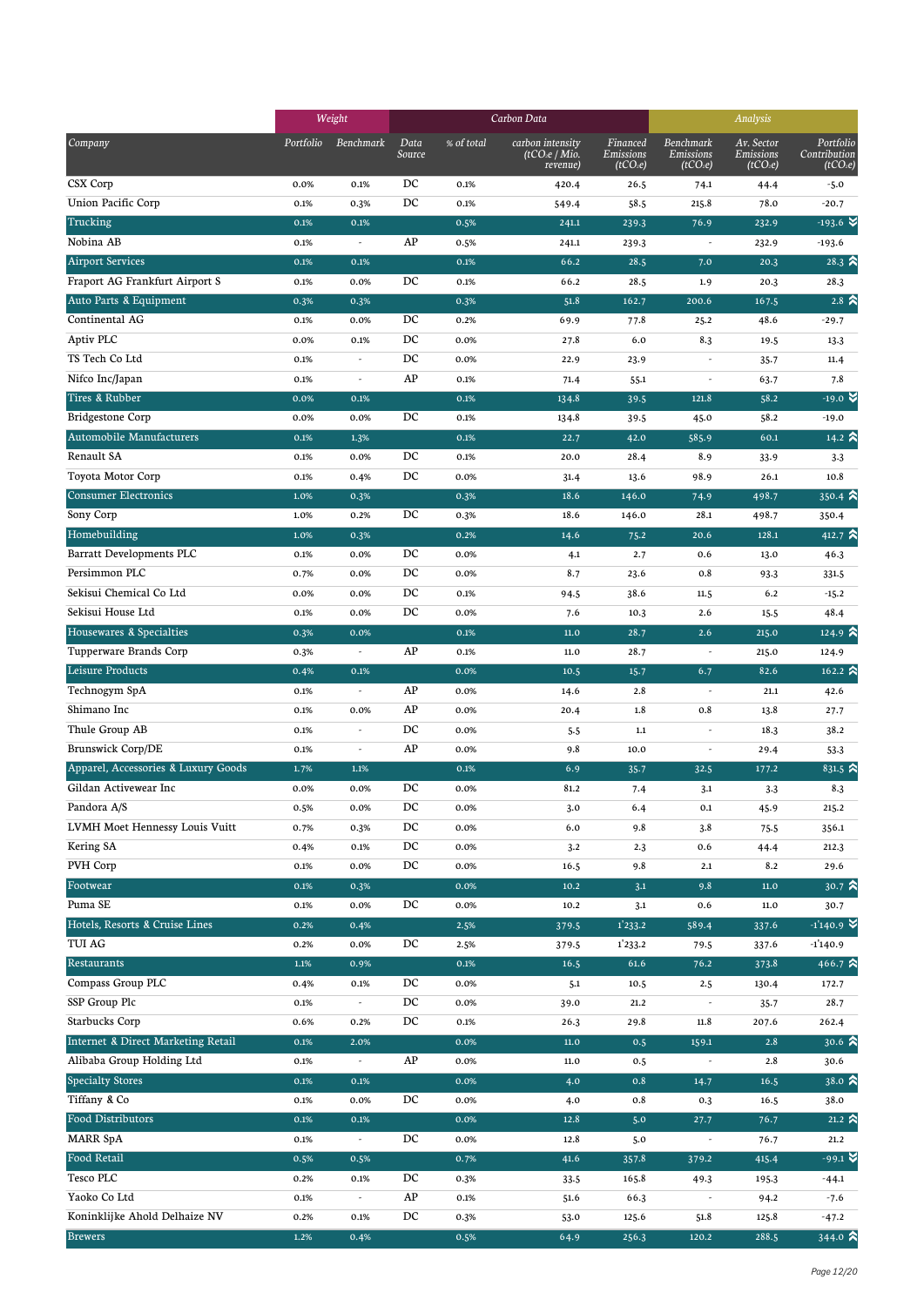|                                     |           | Weight                   |                  |            | Carbon Data                                              | Analysis                                      |                                                |                                                 |                                                   |
|-------------------------------------|-----------|--------------------------|------------------|------------|----------------------------------------------------------|-----------------------------------------------|------------------------------------------------|-------------------------------------------------|---------------------------------------------------|
| Company                             | Portfolio | Benchmark                | Data<br>Source   | % of total | carbon intensity<br>(tCO <sub>2</sub> e/Mio.<br>revenue) | Financed<br>Emissions<br>(tCO <sub>2</sub> e) | Benchmark<br>Emissions<br>(tCO <sub>2</sub> e) | Av. Sector<br>Emissions<br>(tCO <sub>2</sub> e) | Portfolio<br>Contribution<br>(tCO <sub>2</sub> e) |
| CSX Corp                            | 0.0%      | 0.1%                     | DC               | 0.1%       | 420.4                                                    | 26.5                                          | 74.1                                           | 44.4                                            | $-5.0$                                            |
| <b>Union Pacific Corp</b>           | 0.1%      | 0.3%                     | DC               | 0.1%       | 549.4                                                    | 58.5                                          | 215.8                                          | 78.0                                            | $-20.7$                                           |
| Trucking                            | 0.1%      | 0.1%                     |                  | 0.5%       | 241.1                                                    | 239.3                                         | 76.9                                           | 232.9                                           | $-193.6$ $\blacktriangleright$                    |
| Nobina AB                           | 0.1%      | $\overline{\phantom{a}}$ | AP               | 0.5%       | 241.1                                                    | 239.3                                         | $\overline{\phantom{a}}$                       | 232.9                                           | $-193.6$                                          |
| <b>Airport Services</b>             | 0.1%      | 0.1%                     |                  | 0.1%       | 66.2                                                     | 28.5                                          | 7.0                                            | 20.3                                            | $28.3 \; \text{\AA}$                              |
| Fraport AG Frankfurt Airport S      | 0.1%      | 0.0%                     | DC               | 0.1%       | 66.2                                                     | 28.5                                          | 1.9                                            | 20.3                                            | 28.3                                              |
| Auto Parts & Equipment              | 0.3%      | 0.3%                     |                  | 0.3%       | 51.8                                                     | 162.7                                         | 200.6                                          | 167.5                                           | $2.8\,$ $\approx$                                 |
| Continental AG                      | 0.1%      | 0.0%                     | DC               | 0.2%       | 69.9                                                     | 77.8                                          | 25.2                                           | 48.6                                            | $-29.7$                                           |
| Aptiv PLC                           | 0.0%      | 0.1%                     | DC               | 0.0%       | 27.8                                                     | 6.0                                           | 8.3                                            | 19.5                                            | 13.3                                              |
| TS Tech Co Ltd                      | 0.1%      |                          | DC               | 0.0%       | 22.9                                                     | 23.9                                          |                                                | 35.7                                            | 11.4                                              |
| Nifco Inc/Japan                     | 0.1%      | $\overline{\phantom{a}}$ | AP               | 0.1%       | 71.4                                                     | 55.1                                          | ÷,                                             | 63.7                                            | 7.8                                               |
| Tires & Rubber                      | 0.0%      | 0.1%                     |                  | 0.1%       | 134.8                                                    | 39.5                                          | 121.8                                          | 58.2                                            | $-19.0$ $\blacktriangleright$                     |
| <b>Bridgestone Corp</b>             | 0.0%      | 0.0%                     | DC               | 0.1%       | 134.8                                                    | 39.5                                          | 45.0                                           | 58.2                                            | $-19.0$                                           |
| Automobile Manufacturers            | 0.1%      | 1.3%                     |                  | 0.1%       | 22.7                                                     | 42.0                                          | 585.9                                          | 60.1                                            | 14.2 $\hat{\mathbf{z}}$                           |
| Renault SA                          | 0.1%      | 0.0%                     | DC               | 0.1%       | 20.0                                                     | 28.4                                          | 8.9                                            | 33.9                                            | $3-3$                                             |
| Toyota Motor Corp                   | 0.1%      | 0.4%                     | DC               | 0.0%       | 31.4                                                     | 13.6                                          | 98.9                                           | 26.1                                            | 10.8                                              |
| <b>Consumer Electronics</b>         | 1.0%      | 0.3%                     |                  | 0.3%       | 18.6                                                     | 146.0                                         | 74.9                                           | 498.7                                           | $350.4$ $\lambda$                                 |
| Sony Corp                           | 1.0%      | 0.2%                     | DC               | 0.3%       | 18.6                                                     | 146.0                                         | 28.1                                           | 498.7                                           | 350.4                                             |
| Homebuilding                        | 1.0%      | 0.3%                     |                  | 0.2%       | 14.6                                                     | 75.2                                          | 20.6                                           | 128.1                                           | 412.7 $\approx$                                   |
| <b>Barratt Developments PLC</b>     | 0.1%      | 0.0%                     | DC               | 0.0%       | 4.1                                                      | 2.7                                           | 0.6                                            | 13.0                                            | 46.3                                              |
| Persimmon PLC                       | 0.7%      | 0.0%                     | DC               | 0.0%       | 8.7                                                      | 23.6                                          | 0.8                                            | 93.3                                            | 331.5                                             |
| Sekisui Chemical Co Ltd             | 0.0%      | 0.0%                     | DC               | 0.1%       | 94.5                                                     | 38.6                                          | 11.5                                           | 6.2                                             | $-15.2$                                           |
| Sekisui House Ltd                   | 0.1%      | 0.0%                     | DC               | 0.0%       | 7.6                                                      | 10.3                                          | 2.6                                            | 15.5                                            | 48.4                                              |
| Housewares & Specialties            | 0.3%      | 0.0%                     |                  | 0.1%       | $11.0$                                                   | 28.7                                          | 2.6                                            | 215.0                                           | 124.9 $\approx$                                   |
| Tupperware Brands Corp              | 0.3%      | $\overline{\phantom{a}}$ | AP               | 0.1%       | 11.0                                                     | 28.7                                          | $\overline{\phantom{a}}$                       | 215.0                                           | 124.9                                             |
| Leisure Products                    | 0.4%      | 0.1%                     |                  | 0.0%       | 10.5                                                     | 15.7                                          | 6.7                                            | 82.6                                            | 162.2 $\hat{\mathbf{z}}$                          |
| Technogym SpA                       | 0.1%      | $\sim$                   | AP               | 0.0%       |                                                          | 2.8                                           | ÷,                                             | 21.1                                            |                                                   |
| Shimano Inc                         | 0.1%      | 0.0%                     | AP               | 0.0%       | 14.6                                                     | 1.8                                           | 0.8                                            |                                                 | 42.6                                              |
| Thule Group AB                      |           | $\overline{\phantom{a}}$ | DC               |            | 20.4                                                     |                                               | $\overline{\phantom{a}}$                       | 13.8                                            | 27.7                                              |
| <b>Brunswick Corp/DE</b>            | 0.1%      | $\overline{\phantom{a}}$ | AP               | 0.0%       | 5.5<br>9.8                                               | $1.1\,$                                       | $\overline{\phantom{a}}$                       | 18.3                                            | 38.2                                              |
| Apparel, Accessories & Luxury Goods | 0.1%      |                          |                  | 0.0%       |                                                          | 10.0                                          |                                                | 29.4                                            | 53.3                                              |
|                                     | 1.7%      | 1.1%                     |                  | 0.1%       | 6.9                                                      | 35.7                                          | 32.5                                           | 177.2                                           | 831.5 $\approx$                                   |
| Gildan Activewear Inc               | 0.0%      | 0.0%                     | DC               | 0.0%       | 81.2                                                     | 7.4                                           | 3.1                                            | 3.3                                             | 8.3                                               |
| Pandora A/S                         | 0.5%      | 0.0%                     | $_{\mathrm{DC}}$ | 0.0%       | 3.0                                                      | 6.4                                           | 0.1                                            | 45.9                                            | 215.2                                             |
| LVMH Moet Hennessy Louis Vuitt      | 0.7%      | 0.3%                     | DC               | 0.0%       | 6.0                                                      | 9.8                                           | 3.8                                            | 75.5                                            | 356.1                                             |
| Kering SA                           | 0.4%      | 0.1%                     | DC               | 0.0%       | 3.2                                                      | 2.3                                           | 0.6                                            | 44.4                                            | 212.3                                             |
| PVH Corp                            | 0.1%      | 0.0%                     | DC               | 0.0%       | 16.5                                                     | 9.8                                           | 2.1                                            | 8.2                                             | 29.6                                              |
| Footwear                            | $0.1\%$   | 0.3%                     |                  | 0.0%       | 10.2                                                     | 3.1                                           | 9.8                                            | $11.0\,$                                        | 30.7 $\approx$                                    |
| Puma SE                             | 0.1%      | 0.0%                     | DC               | 0.0%       | 10.2                                                     | 3.1                                           | 0.6                                            | 11.0                                            | 30.7                                              |
| Hotels, Resorts & Cruise Lines      | 0.2%      | 0.4%                     |                  | 2.5%       | 379.5                                                    | 1'233.2                                       | 589.4                                          | 337.6                                           | $-1'140.9$                                        |
| TUI AG                              | 0.2%      | 0.0%                     | DC               | 2.5%       | 379.5                                                    | 1'233.2                                       | 79.5                                           | 337.6                                           | $-1'140.9$                                        |
| Restaurants                         | $1.1\%$   | 0.9%                     |                  | 0.1%       | 16.5                                                     | 61.6                                          | 76.2                                           | 373.8                                           | 466.7 $\hat{\mathbf{a}}$                          |
| Compass Group PLC                   | 0.4%      | 0.1%                     | DC               | 0.0%       | 5.1                                                      | 10.5                                          | 2.5                                            | 130.4                                           | 172.7                                             |
| SSP Group Plc                       | 0.1%      | $\overline{\phantom{a}}$ | DC               | 0.0%       | 39.0                                                     | 21.2                                          | ÷,                                             | 35.7                                            | 28.7                                              |
| <b>Starbucks Corp</b>               | 0.6%      | 0.2%                     | DC               | 0.1%       | 26.3                                                     | 29.8                                          | 11.8                                           | 207.6                                           | 262.4                                             |
| Internet & Direct Marketing Retail  | 0.1%      | 2.0%                     |                  | 0.0%       | $11.0$                                                   | 0.5                                           | 159.1                                          | 2.8                                             | 30.6 $\approx$                                    |
| Alibaba Group Holding Ltd           | 0.1%      | $\overline{\phantom{a}}$ | AP               | 0.0%       | 11.0                                                     | 0.5                                           | $\overline{\phantom{a}}$                       | 2.8                                             | 30.6                                              |
| <b>Specialty Stores</b>             | 0.1%      | 0.1%                     |                  | 0.0%       | 4.0                                                      | 0.8                                           | 14.7                                           | 16.5                                            | $38.0$ $\approx$                                  |
| Tiffany & Co                        | 0.1%      | 0.0%                     | DC               | 0.0%       | 4.0                                                      | 0.8                                           | 0.3                                            | 16.5                                            | 38.0                                              |
| Food Distributors                   | 0.1%      | 0.1%                     |                  | 0.0%       | 12.8                                                     | 5.0                                           | 27.7                                           | 76.7                                            | 21.2 $\hat{ }$                                    |
| <b>MARR SpA</b>                     | 0.1%      |                          | DC               | 0.0%       | 12.8                                                     | 5.0                                           |                                                | 76.7                                            | 21.2                                              |
| Food Retail                         | 0.5%      | 0.5%                     |                  | 0.7%       | 41.6                                                     | 357.8                                         | 379.2                                          | 415.4                                           | $-99.1$ $\bullet$                                 |
| Tesco PLC                           | 0.2%      | 0.1%                     | DC               | 0.3%       | 33.5                                                     | 165.8                                         | 49.3                                           | 195.3                                           | -44.1                                             |
| Yaoko Co Ltd                        | 0.1%      | $\overline{\phantom{a}}$ | AP               | 0.1%       | 51.6                                                     | 66.3                                          | $\overline{\phantom{a}}$                       | 94.2                                            | $-7.6$                                            |
| Koninklijke Ahold Delhaize NV       | 0.2%      | 0.1%                     | DC               | 0.3%       | 53.0                                                     | 125.6                                         | 51.8                                           | 125.8                                           | $-47.2$                                           |
| <b>Brewers</b>                      | 1.2%      | 0.4%                     |                  | 0.5%       | 64.9                                                     | 256.3                                         | 120.2                                          | 288.5                                           | 344.0 $\approx$                                   |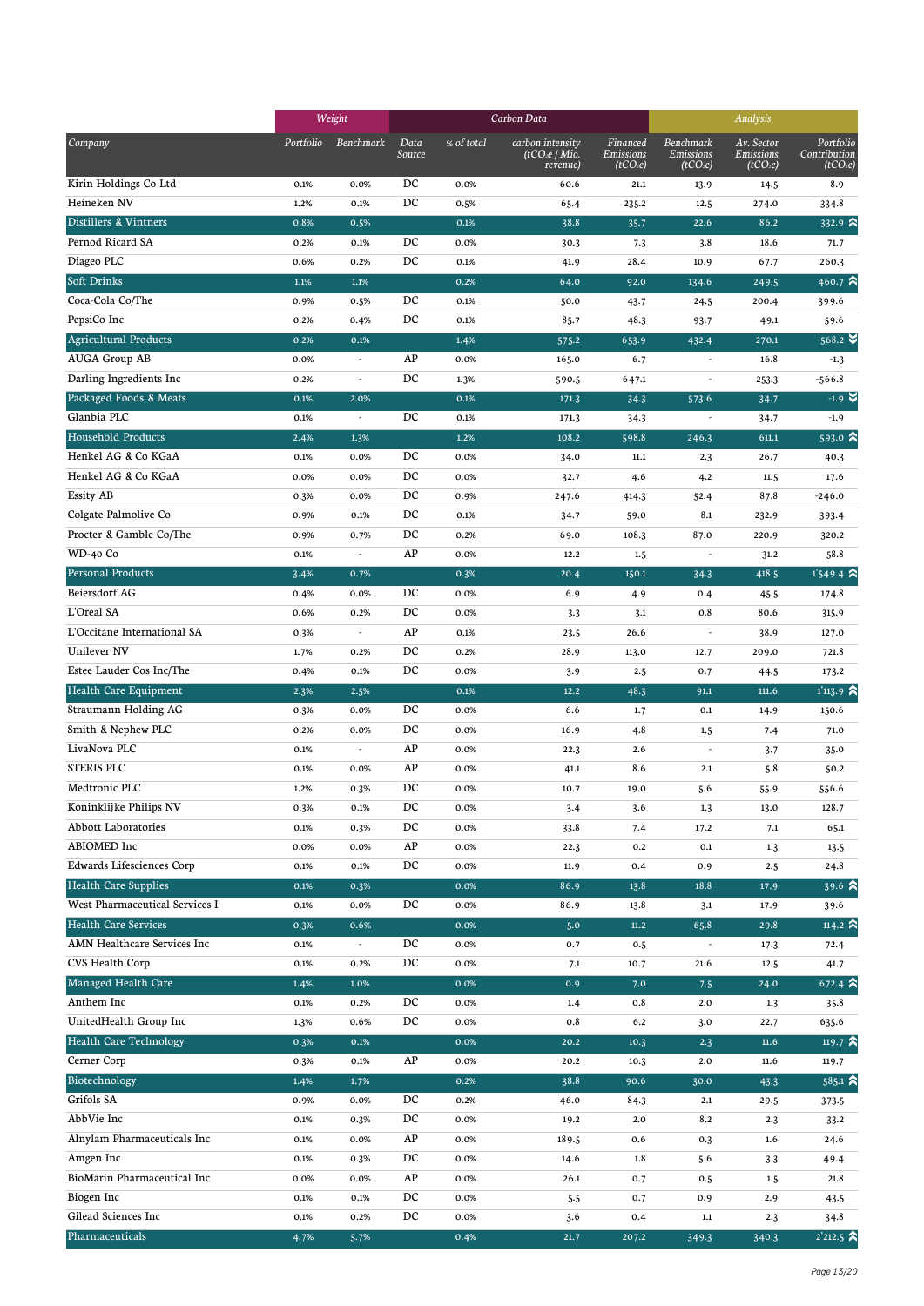|                                |           | Weight<br>Carbon Data    |                  |              |                                                          |                                               | Analysis                                       |                                                 |                                                   |
|--------------------------------|-----------|--------------------------|------------------|--------------|----------------------------------------------------------|-----------------------------------------------|------------------------------------------------|-------------------------------------------------|---------------------------------------------------|
| Company                        | Portfolio | Benchmark                | Data<br>Source   | % of total   | carbon intensity<br>(tCO <sub>2</sub> e/Mio.<br>revenue) | Financed<br>Emissions<br>(tCO <sub>2</sub> e) | Benchmark<br>Emissions<br>(tCO <sub>2</sub> e) | Av. Sector<br>Emissions<br>(tCO <sub>2</sub> e) | Portfolio<br>Contribution<br>(tCO <sub>2</sub> e) |
| Kirin Holdings Co Ltd          | 0.1%      | 0.0%                     | DC               | 0.0%         | 60.6                                                     | 21.1                                          | 13.9                                           | 14.5                                            | 8.9                                               |
| Heineken NV                    | 1.2%      | 0.1%                     | DC               | 0.5%         | 65.4                                                     | 235.2                                         | 12.5                                           | 274.0                                           | 334.8                                             |
| Distillers & Vintners          | 0.8%      | 0.5%                     |                  | 0.1%         | 38.8                                                     | 35.7                                          | 22.6                                           | 86.2                                            | $332.9$ $\lambda$                                 |
| Pernod Ricard SA               | 0.2%      | 0.1%                     | DC               | 0.0%         | 30.3                                                     | 7.3                                           | 3.8                                            | 18.6                                            | 71.7                                              |
| Diageo PLC                     | 0.6%      | 0.2%                     | DC               | 0.1%         | 41.9                                                     | 28.4                                          | 10.9                                           | 67.7                                            | 260.3                                             |
| Soft Drinks                    | $1.1\%$   | 1.1%                     |                  | 0.2%         | 64.0                                                     | 92.0                                          | 134.6                                          | 249.5                                           | 460.7 $\hat{\mathbf{a}}$                          |
| Coca-Cola Co/The               | 0.9%      | 0.5%                     | DC               | 0.1%         | 50.0                                                     | 43.7                                          | 24.5                                           | 200.4                                           | 399.6                                             |
| PepsiCo Inc                    | 0.2%      | 0.4%                     | DC               | 0.1%         | 85.7                                                     | 48.3                                          | 93.7                                           | 49.1                                            | 59.6                                              |
| <b>Agricultural Products</b>   | 0.2%      | 0.1%                     |                  | 1.4%         | 575.2                                                    | 653.9                                         | 432.4                                          | 270.1                                           | $-568.2$ $\blacktriangleright$                    |
| <b>AUGA Group AB</b>           | 0.0%      | $\overline{\phantom{a}}$ | AP               | 0.0%         | 165.0                                                    | 6.7                                           |                                                | 16.8                                            | $-1.3$                                            |
| Darling Ingredients Inc        | 0.2%      | $\overline{a}$           | DC               | 1.3%         | 590.5                                                    | 647.1                                         | $\overline{\phantom{a}}$                       | 253.3                                           | $-566.8$                                          |
| Packaged Foods & Meats         | 0.1%      | 2.0%                     |                  | 0.1%         | 171.3                                                    | 34.3                                          | 573.6                                          | 34.7                                            | $-1.9$ $\times$                                   |
| Glanbia PLC                    | 0.1%      | $\overline{\phantom{a}}$ | DC               | 0.1%         | 171.3                                                    | 34.3                                          | $\overline{\phantom{a}}$                       | 34.7                                            | $-1.9$                                            |
| Household Products             | 2.4%      | 1.3%                     |                  | 1.2%         | 108.2                                                    | 598.8                                         | 246.3                                          | 611.1                                           | $593.0$ $\lambda$                                 |
| Henkel AG & Co KGaA            | 0.1%      | 0.0%                     | DC               | 0.0%         | 34.0                                                     | 11.1                                          | 2.3                                            | 26.7                                            | 40.3                                              |
| Henkel AG & Co KGaA            | 0.0%      | 0.0%                     | DC               | 0.0%         | 32.7                                                     | 4.6                                           | 4.2                                            | 11.5                                            | 17.6                                              |
| <b>Essity AB</b>               | 0.3%      | 0.0%                     | DC               | 0.9%         | 247.6                                                    | 414.3                                         | 52.4                                           | 87.8                                            | $-246.0$                                          |
| Colgate-Palmolive Co           | 0.9%      | 0.1%                     | DC               | 0.1%         | 34.7                                                     | 59.0                                          | 8.1                                            | 232.9                                           | 393.4                                             |
| Procter & Gamble Co/The        | 0.9%      | 0.7%                     | DC               | 0.2%         | 69.0                                                     | 108.3                                         | 87.0                                           | 220.9                                           | 320.2                                             |
| WD-40 Co                       | 0.1%      | ÷,                       | AP               | 0.0%         | 12.2                                                     | 1.5                                           | $\overline{\phantom{a}}$                       | 31.2                                            | 58.8                                              |
| <b>Personal Products</b>       | 3.4%      | 0.7%                     |                  | 0.3%         | 20.4                                                     | 150.1                                         | 34.3                                           | 418.5                                           | $1'549.4$ $\approx$                               |
| Beiersdorf AG                  | 0.4%      | 0.0%                     | DC               | 0.0%         | 6.9                                                      | 4.9                                           | 0.4                                            | 45.5                                            | 174.8                                             |
| L'Oreal SA                     | 0.6%      | 0.2%                     | DC               | 0.0%         | 3.3                                                      | 3.1                                           | 0.8                                            | 80.6                                            | 315.9                                             |
| L'Occitane International SA    | 0.3%      | $\overline{\phantom{a}}$ | AP               | 0.1%         | 23.5                                                     | 26.6                                          | $\overline{\phantom{a}}$                       | 38.9                                            | 127.0                                             |
| Unilever NV                    | 1.7%      | 0.2%                     | DC               | 0.2%         | 28.9                                                     | 113.0                                         | 12.7                                           | 209.0                                           | 721.8                                             |
| Estee Lauder Cos Inc/The       | 0.4%      | 0.1%                     | DC               | 0.0%         | 3.9                                                      | 2.5                                           | 0.7                                            | 44.5                                            | 173.2                                             |
| Health Care Equipment          | 2.3%      | 2.5%                     |                  | 0.1%         | 12.2                                                     | 48.3                                          | 91.1                                           | 111.6                                           | $1'113.9$ $\approx$                               |
| Straumann Holding AG           | 0.3%      | 0.0%                     | DC               | 0.0%         | 6.6                                                      | 1.7                                           | 0.1                                            | 14.9                                            | 150.6                                             |
| Smith & Nephew PLC             | 0.2%      | 0.0%                     | DC               | 0.0%         | 16.9                                                     | 4.8                                           | 1.5                                            | 7.4                                             | 71.0                                              |
| LivaNova PLC                   | 0.1%      | $\overline{a}$           | AP               | 0.0%         | 22.3                                                     | 2.6                                           | $\overline{\phantom{a}}$                       | 3.7                                             | 35.0                                              |
| <b>STERIS PLC</b>              | 0.1%      | 0.0%                     | AP               | 0.0%         | 41.1                                                     | 8.6                                           | 2.1                                            | 5.8                                             | 50.2                                              |
| Medtronic PLC                  | 1.2%      | 0.3%                     | DC               | 0.0%         | 10.7                                                     | 19.0                                          | 5.6                                            | 55.9                                            | 556.6                                             |
| Koninklijke Philips NV         | 0.3%      | 0.1%                     | DC               | 0.0%         | 3.4                                                      | 3.6                                           | 1.3                                            | 13.0                                            | 128.7                                             |
| Abbott Laboratories            | 0.1%      | 0.3%                     | DC               | 0.0%         | 33.8                                                     | 7.4                                           | 17.2                                           | 7.1                                             | 65.1                                              |
| ABIOMED Inc                    | 0.0%      | 0.0%                     | AP               | 0.0%         | 22.3                                                     | $0.2\,$                                       | 0.1                                            | 1.3                                             | 13.5                                              |
| Edwards Lifesciences Corp      | 0.1%      | 0.1%                     | DC               | 0.0%         | 11.9                                                     | 0.4                                           | 0.9                                            | 2.5                                             | 24.8                                              |
| <b>Health Care Supplies</b>    | 0.1%      | 0.3%                     |                  | 0.0%         | 86.9                                                     | 13.8                                          | 18.8                                           | 17.9                                            | 39.6 $\hat{A}$                                    |
| West Pharmaceutical Services I | 0.1%      | 0.0%                     | DC               | 0.0%         | 86.9                                                     | 13.8                                          | 3.1                                            | 17.9                                            | 39.6                                              |
| <b>Health Care Services</b>    | 0.3%      | 0.6%                     |                  | 0.0%         | 5.0                                                      | $11.2$                                        | 65.8                                           | 29.8                                            | 114.2 $\approx$                                   |
| AMN Healthcare Services Inc    | 0.1%      |                          | DC               | 0.0%         | 0.7                                                      | 0.5                                           |                                                | 17.3                                            | 72.4                                              |
| CVS Health Corp                | 0.1%      | 0.2%                     | DC               | 0.0%         | 7.1                                                      | 10.7                                          | 21.6                                           | 12.5                                            | 41.7                                              |
| Managed Health Care            | 1.4%      | 1.0%                     |                  | 0.0%         | 0.9                                                      | 7.0                                           | 7.5                                            | 24.0                                            | $672.4$ $\approx$                                 |
| Anthem Inc                     | 0.1%      | 0.2%                     | $_{\mathrm{DC}}$ | 0.0%         | 1.4                                                      | 0.8                                           | 2.0                                            | 1.3                                             | 35.8                                              |
| UnitedHealth Group Inc         | 1.3%      | 0.6%                     | DC               | 0.0%         | 0.8                                                      | 6.2                                           | 3.0                                            | 22.7                                            | 635.6                                             |
| Health Care Technology         | 0.3%      | 0.1%                     |                  | 0.0%         | 20.2                                                     | 10.3                                          | 2.3                                            | 11.6                                            | 119.7 $\hat{\mathbf{a}}$                          |
| Cerner Corp                    | 0.3%      | 0.1%                     | AP               | 0.0%         | 20.2                                                     | 10.3                                          | 2.0                                            | 11.6                                            | 119.7                                             |
| Biotechnology                  | 1.4%      | 1.7%                     |                  | 0.2%         | 38.8                                                     | 90.6                                          | 30.0                                           | 43.3                                            | $585.1$ $\approx$                                 |
| Grifols SA                     | 0.9%      | 0.0%                     | DC               | 0.2%         | 46.0                                                     | 84.3                                          | 2.1                                            | 29.5                                            | 373.5                                             |
| AbbVie Inc                     | 0.1%      | 0.3%                     | DC               | 0.0%         | 19.2                                                     | $2.0\,$                                       | 8.2                                            | 2.3                                             | 33.2                                              |
| Alnylam Pharmaceuticals Inc    | 0.1%      | 0.0%                     | AP               | 0.0%         | 189.5                                                    | 0.6                                           | 0.3                                            | 1.6                                             |                                                   |
| Amgen Inc                      | 0.1%      | 0.3%                     | DC               | 0.0%         | 14.6                                                     | 1.8                                           | 5.6                                            |                                                 | 24.6                                              |
| BioMarin Pharmaceutical Inc    |           |                          | AP               |              |                                                          |                                               |                                                | 3.3                                             | 49.4                                              |
| Biogen Inc                     | 0.0%      | 0.0%                     | DC               | 0.0%         | 26.1                                                     | 0.7                                           | 0.5                                            | $1.5\,$                                         | 21.8                                              |
| Gilead Sciences Inc            | 0.1%      | 0.1%                     | DC               | 0.0%<br>0.0% | 5.5                                                      | 0.7                                           | 0.9                                            | 2.9                                             | 43.5                                              |
| Pharmaceuticals                | 0.1%      | 0.2%                     |                  | 0.4%         | 3.6                                                      | 0.4                                           | $1.1\,$                                        | 2.3                                             | 34.8<br>$2'212.5$ $\approx$                       |
|                                | 4.7%      | 5.7%                     |                  |              | 21.7                                                     | 207.2                                         | 349.3                                          | 340.3                                           |                                                   |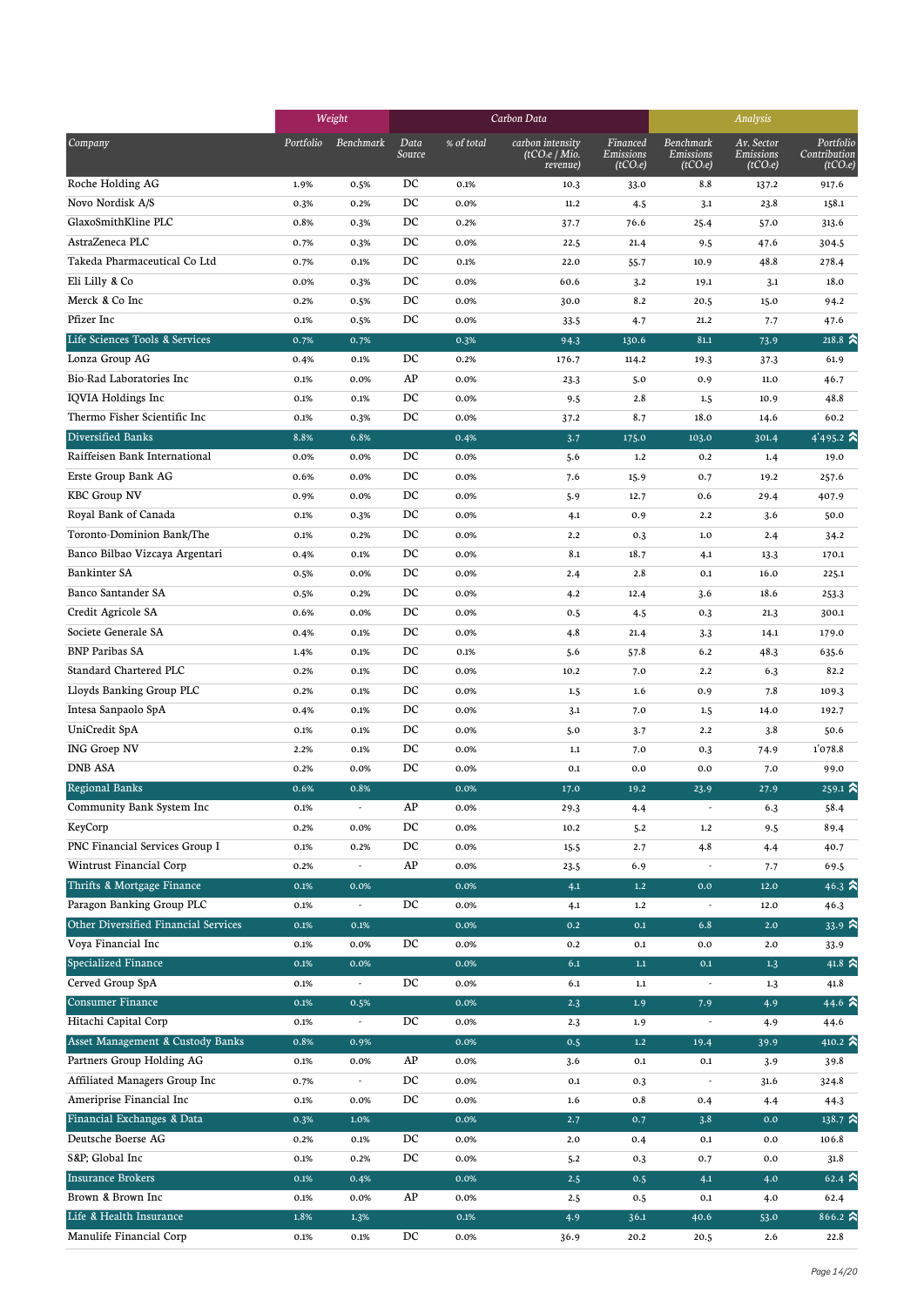|                                      |              | Weight                   |                  |              | Carbon Data                                              | Analysis                                      |                                                |                                                 |                                                   |
|--------------------------------------|--------------|--------------------------|------------------|--------------|----------------------------------------------------------|-----------------------------------------------|------------------------------------------------|-------------------------------------------------|---------------------------------------------------|
| Company                              | Portfolio    | Benchmark                | Data<br>Source   | % of total   | carbon intensity<br>(tCO <sub>2</sub> e/Mio.<br>revenue) | Financed<br>Emissions<br>(tCO <sub>2</sub> e) | Benchmark<br>Emissions<br>(tCO <sub>2</sub> e) | Av. Sector<br>Emissions<br>(tCO <sub>2</sub> e) | Portfolio<br>Contribution<br>(tCO <sub>2</sub> e) |
| Roche Holding AG                     | 1.9%         | 0.5%                     | DC               | 0.1%         | 10.3                                                     | 33.0                                          | 8.8                                            | 137.2                                           | 917.6                                             |
| Novo Nordisk A/S                     | 0.3%         | 0.2%                     | DC               | 0.0%         | 11.2                                                     | 4.5                                           | 3.1                                            | 23.8                                            | 158.1                                             |
| GlaxoSmithKline PLC                  | 0.8%         | 0.3%                     | DC               | 0.2%         | 37.7                                                     | 76.6                                          | 25.4                                           | 57.0                                            | 313.6                                             |
| AstraZeneca PLC                      | 0.7%         | 0.3%                     | DC               | 0.0%         | 22.5                                                     | 21.4                                          | 9.5                                            | 47.6                                            | 304.5                                             |
| Takeda Pharmaceutical Co Ltd         | 0.7%         | 0.1%                     | DC               | 0.1%         | 22.0                                                     | 55.7                                          | 10.9                                           | 48.8                                            | 278.4                                             |
| Eli Lilly & Co                       | 0.0%         | 0.3%                     | DC               | 0.0%         | 60.6                                                     | 3.2                                           | 19.1                                           | 3.1                                             | 18.0                                              |
| Merck & Co Inc                       | 0.2%         | 0.5%                     | DC               | 0.0%         | 30.0                                                     | 8.2                                           | 20.5                                           | 15.0                                            | 94.2                                              |
| Pfizer Inc                           | 0.1%         | 0.5%                     | DC               | 0.0%         | 33.5                                                     | 4.7                                           | 21.2                                           | 7.7                                             | 47.6                                              |
| Life Sciences Tools & Services       | 0.7%         | 0.7%                     |                  | 0.3%         | 94.3                                                     | 130.6                                         | 81.1                                           | 73.9                                            | $218.8 \times$                                    |
| Lonza Group AG                       | 0.4%         | 0.1%                     | DC               | 0.2%         | 176.7                                                    | 114.2                                         | 19.3                                           | 37.3                                            | 61.9                                              |
| Bio-Rad Laboratories Inc             | 0.1%         | 0.0%                     | AP               | 0.0%         | 23.3                                                     | 5.0                                           | 0.9                                            | 11.0                                            | 46.7                                              |
| <b>IQVIA Holdings Inc</b>            | 0.1%         | 0.1%                     | DC               | 0.0%         | 9.5                                                      | 2.8                                           | 1.5                                            | 10.9                                            | 48.8                                              |
| Thermo Fisher Scientific Inc         | 0.1%         | 0.3%                     | DC               | 0.0%         | 37.2                                                     | 8.7                                           | 18.0                                           | 14.6                                            | 60.2                                              |
| Diversified Banks                    | 8.8%         | 6.8%                     |                  | 0.4%         | 3.7                                                      | 175.0                                         | 103.0                                          | 301.4                                           | 4'495.2 $\hat{\mathbf{a}}$                        |
| Raiffeisen Bank International        | 0.0%         | 0.0%                     | DC               | 0.0%         | 5.6                                                      | 1.2                                           | 0.2                                            | 1.4                                             | 19.0                                              |
| Erste Group Bank AG                  | 0.6%         | 0.0%                     | DC               | 0.0%         | 7.6                                                      | 15.9                                          | 0.7                                            | 19.2                                            | 257.6                                             |
| <b>KBC Group NV</b>                  | 0.9%         | 0.0%                     | DC               | 0.0%         | 5.9                                                      | 12.7                                          | 0.6                                            | 29.4                                            | 407.9                                             |
| Royal Bank of Canada                 | 0.1%         | 0.3%                     | DC               | 0.0%         | 4.1                                                      | 0.9                                           | 2.2                                            | 3.6                                             | 50.0                                              |
| Toronto-Dominion Bank/The            | 0.1%         | 0.2%                     | DC               | 0.0%         | 2.2                                                      | 0.3                                           | 1.0                                            | 2.4                                             | 34.2                                              |
| Banco Bilbao Vizcaya Argentari       | 0.4%         | 0.1%                     | DC               | 0.0%         | 8.1                                                      | 18.7                                          | 4.1                                            | 13.3                                            | 170.1                                             |
| Bankinter SA                         | 0.5%         | 0.0%                     | DC               | 0.0%         | 2.4                                                      | 2.8                                           | 0.1                                            | 16.0                                            | 225.1                                             |
| Banco Santander SA                   | 0.5%         | 0.2%                     | DC               | 0.0%         | 4.2                                                      | 12.4                                          | 3.6                                            | 18.6                                            | 253.3                                             |
| Credit Agricole SA                   | 0.6%         | 0.0%                     | DC               | 0.0%         | 0.5                                                      | 4.5                                           | 0.3                                            | 21.3                                            | 300.1                                             |
| Societe Generale SA                  | 0.4%         | 0.1%                     | DC               | 0.0%         | 4.8                                                      | 21.4                                          | 3.3                                            | 14.1                                            | 179.0                                             |
| <b>BNP Paribas SA</b>                | 1.4%         | 0.1%                     | DC               | 0.1%         | 5.6                                                      | 57.8                                          | 6.2                                            | 48.3                                            | 635.6                                             |
| Standard Chartered PLC               | 0.2%         | 0.1%                     | DC               | 0.0%         | 10.2                                                     | 7.0                                           | 2.2                                            | 6.3                                             | 82.2                                              |
| Lloyds Banking Group PLC             | 0.2%         | 0.1%                     | DC               | 0.0%         | 1.5                                                      | 1.6                                           | 0.9                                            | 7.8                                             | 109.3                                             |
| Intesa Sanpaolo SpA                  | 0.4%         | 0.1%                     | DC               | 0.0%         | 3.1                                                      | 7.0                                           | 1.5                                            | 14.0                                            | 192.7                                             |
| UniCredit SpA                        | 0.1%         | 0.1%                     | DC               | 0.0%         | 5.0                                                      | 3.7                                           | 2.2                                            | 3.8                                             | 50.6                                              |
| <b>ING Groep NV</b>                  | 2.2%         | 0.1%                     | DC               | 0.0%         | 1.1                                                      | 7.0                                           | 0.3                                            | 74.9                                            | 1'078.8                                           |
| <b>DNB ASA</b>                       | 0.2%         | 0.0%                     | DC               | 0.0%         | 0.1                                                      | 0.0                                           | 0.0                                            | 7.0                                             | 99.0                                              |
| Regional Banks                       | 0.6%         | 0.8%                     |                  | 0.0%         | 17.0                                                     | 19.2                                          | 23.9                                           | 27.9                                            | 259.1 $\hat{\mathbf{z}}$                          |
| Community Bank System Inc            | 0.1%         |                          | AP               | 0.0%         |                                                          |                                               |                                                |                                                 | 58.4                                              |
| KeyCorp                              | 0.2%         | 0.0%                     | DC               | 0.0%         | 29.3<br>10.2                                             | 4.4<br>5.2                                    | 1.2                                            | 6.3<br>9.5                                      | 89.4                                              |
| PNC Financial Services Group I       | 0.1%         | 0.2%                     | DC               | 0.0%         | 15.5                                                     | 2.7                                           | 4.8                                            | 4.4                                             | 40.7                                              |
| Wintrust Financial Corp              | 0.2%         | $\overline{\phantom{a}}$ | AP               | 0.0%         |                                                          | 6.9                                           | $\overline{\phantom{a}}$                       | 7.7                                             | 69.5                                              |
| Thrifts & Mortgage Finance           | 0.1%         | 0.0%                     |                  | 0.0%         | 23.5<br>4.1                                              | $1.2$                                         | 0.0                                            | 12.0                                            | 46.3 $\approx$                                    |
| Paragon Banking Group PLC            | 0.1%         |                          | DC               | 0.0%         |                                                          | $1.2\,$                                       |                                                | 12.0                                            | 46.3                                              |
| Other Diversified Financial Services | 0.1%         | 0.1%                     |                  | 0.0%         | 4.1<br>0.2                                               | $0.1\,$                                       | 6.8                                            | 2.0                                             | 33.9 $\hat{\lambda}$                              |
| Voya Financial Inc                   | 0.1%         | 0.0%                     | $_{\mathrm{DC}}$ | 0.0%         |                                                          |                                               |                                                |                                                 |                                                   |
| Specialized Finance                  | 0.1%         | 0.0%                     |                  | 0.0%         | 0.2<br>6.1                                               | $\rm 0.1$<br>$1.1\,$                          | 0.0<br>0.1                                     | $2.0$                                           | 33.9<br>41.8 $\approx$                            |
| Cerved Group SpA                     |              |                          | $_{\mathrm{DC}}$ |              |                                                          |                                               |                                                | 1.3                                             |                                                   |
| <b>Consumer Finance</b>              | 0.1%<br>0.1% | $\overline{\phantom{a}}$ |                  | 0.0%<br>0.0% | 6.1                                                      | 1.1                                           |                                                | 1.3                                             | 41.8<br>44.6 $\approx$                            |
| Hitachi Capital Corp                 |              | 0.5%                     | DC               |              | 2.3                                                      | 1.9                                           | 7.9                                            | 4.9                                             |                                                   |
| Asset Management & Custody Banks     | 0.1%         | $\sim$                   |                  | 0.0%         | 2.3                                                      | 1.9                                           | $\overline{\phantom{a}}$                       | 4.9                                             | 44.6                                              |
|                                      | 0.8%         | 0.9%                     |                  | 0.0%         | 0.5                                                      | 1.2                                           | 19.4                                           | 39.9                                            | 410.2 $\hat{\mathbf{a}}$                          |
| Partners Group Holding AG            | 0.1%         | 0.0%                     | AP               | 0.0%         | 3.6                                                      | 0.1                                           | 0.1                                            | 3.9                                             | 39.8                                              |
| Affiliated Managers Group Inc        | 0.7%         | $\overline{\phantom{a}}$ | DC               | 0.0%         | $0.1\,$                                                  | 0.3                                           | $\overline{\phantom{a}}$                       | 31.6                                            | 324.8                                             |
| Ameriprise Financial Inc             | 0.1%         | 0.0%                     | DC               | 0.0%         | 1.6                                                      | 0.8                                           | 0.4                                            | 4.4                                             | 44.3                                              |
| Financial Exchanges & Data           | 0.3%         | 1.0%                     |                  | 0.0%         | 2.7                                                      | 0.7                                           | 3.8                                            | 0.0                                             | 138.7 $\approx$                                   |
| Deutsche Boerse AG                   | 0.2%         | 0.1%                     | DC               | 0.0%         | 2.0                                                      | 0.4                                           | 0.1                                            | 0.0                                             | 106.8                                             |
| S&P Global Inc                       | 0.1%         | 0.2%                     | DC               | 0.0%         | 5.2                                                      | 0.3                                           | 0.7                                            | 0.0                                             | 31.8                                              |
| <b>Insurance Brokers</b>             | 0.1%         | 0.4%                     |                  | 0.0%         | 2.5                                                      | 0.5                                           | 4.1                                            | 4.0                                             | 62.4 $\approx$                                    |
| Brown & Brown Inc                    | 0.1%         | 0.0%                     | ${\bf AP}$       | 0.0%         | 2.5                                                      | 0.5                                           | $0.1\,$                                        | 4.0                                             | 62.4                                              |
| Life & Health Insurance              | 1.8%         | 1.3%                     |                  | 0.1%         | 4.9                                                      | 36.1                                          | 40.6                                           | 53.0                                            | 866.2 $\hat{\mathbf{z}}$                          |
| Manulife Financial Corp              | 0.1%         | 0.1%                     | DC               | 0.0%         | 36.9                                                     | 20.2                                          | 20.5                                           | 2.6                                             | 22.8                                              |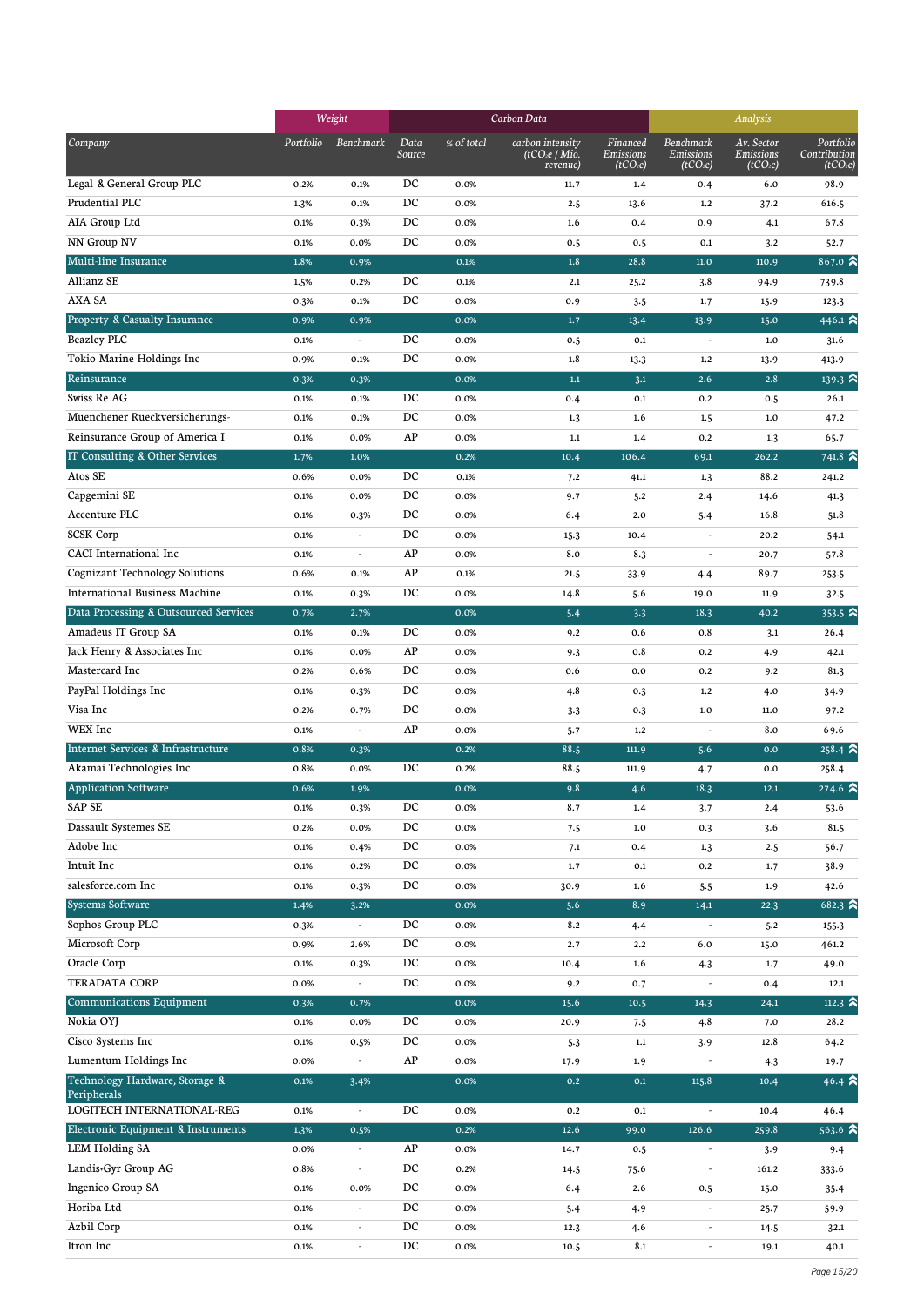|                                           | Weight    |                          |                |            | Carbon Data                                              | Analysis                                      |                                                |                                                 |                                                   |
|-------------------------------------------|-----------|--------------------------|----------------|------------|----------------------------------------------------------|-----------------------------------------------|------------------------------------------------|-------------------------------------------------|---------------------------------------------------|
| Company                                   | Portfolio | Benchmark                | Data<br>Source | % of total | carbon intensity<br>(tCO <sub>2</sub> e/Mio.<br>revenue) | Financed<br>Emissions<br>(tCO <sub>2</sub> e) | Benchmark<br>Emissions<br>(tCO <sub>2</sub> e) | Av. Sector<br>Emissions<br>(tCO <sub>2</sub> e) | Portfolio<br>Contribution<br>(tCO <sub>2</sub> e) |
| Legal & General Group PLC                 | 0.2%      | 0.1%                     | DC             | 0.0%       | 11.7                                                     | 1.4                                           | 0.4                                            | 6.0                                             | 98.9                                              |
| Prudential PLC                            | 1.3%      | 0.1%                     | DC             | 0.0%       | 2.5                                                      | 13.6                                          | 1.2                                            | 37.2                                            | 616.5                                             |
| AIA Group Ltd                             | 0.1%      | 0.3%                     | DC             | 0.0%       | 1.6                                                      | 0.4                                           | 0.9                                            | 4.1                                             | 67.8                                              |
| NN Group NV                               | 0.1%      | 0.0%                     | DC             | 0.0%       | 0.5                                                      | 0.5                                           | 0.1                                            | 3.2                                             | 52.7                                              |
| Multi-line Insurance                      | 1.8%      | 0.9%                     |                | 0.1%       | 1.8                                                      | 28.8                                          | 11.0                                           | 110.9                                           | 867.0 $\approx$                                   |
| Allianz SE                                | 1.5%      | 0.2%                     | DC             | 0.1%       | 2.1                                                      | 25.2                                          | 3.8                                            | 94.9                                            | 739.8                                             |
| AXA SA                                    | 0.3%      | 0.1%                     | DC             | 0.0%       | 0.9                                                      | 3.5                                           | 1.7                                            | 15.9                                            | 123.3                                             |
| Property & Casualty Insurance             | 0.9%      | 0.9%                     |                | 0.0%       | 1.7                                                      | 13.4                                          | 13.9                                           | 15.0                                            | 446.1 $\approx$                                   |
| Beazley PLC                               | 0.1%      |                          | DC             | 0.0%       | 0.5                                                      | 0.1                                           | $\overline{\phantom{a}}$                       | 1.0                                             | 31.6                                              |
| Tokio Marine Holdings Inc                 | 0.9%      | 0.1%                     | DC             | 0.0%       | 1.8                                                      | 13.3                                          | 1.2                                            | 13.9                                            | 413.9                                             |
| Reinsurance                               | 0.3%      | 0.3%                     |                | 0.0%       | $1.1\,$                                                  | 3.1                                           | 2.6                                            | 2.8                                             | $139.3 \; \text{N}$                               |
| Swiss Re AG                               | 0.1%      | 0.1%                     | DC             | 0.0%       | 0.4                                                      | 0.1                                           | 0.2                                            | 0.5                                             | 26.1                                              |
| Muenchener Rueckversicherungs-            | 0.1%      | 0.1%                     | DC             | 0.0%       | 1.3                                                      | 1.6                                           | 1.5                                            | $1.0$                                           | 47.2                                              |
| Reinsurance Group of America I            | 0.1%      | 0.0%                     | AP             | 0.0%       | $1.1\,$                                                  | 1.4                                           | 0.2                                            | 1.3                                             | 65.7                                              |
| IT Consulting & Other Services            | 1.7%      | 1.0%                     |                | 0.2%       | 10.4                                                     | 106.4                                         | 69.1                                           | 262.2                                           | $741.8 \; \text{\AA}$                             |
| Atos SE                                   | 0.6%      | 0.0%                     | DC             | 0.1%       | 7.2                                                      | 41.1                                          | 1.3                                            | 88.2                                            | 241.2                                             |
| Capgemini SE                              | 0.1%      | 0.0%                     | DC             | 0.0%       | 9.7                                                      | 5.2                                           | 2.4                                            | 14.6                                            | 41.3                                              |
| Accenture PLC                             | 0.1%      | 0.3%                     | DC             | 0.0%       | 6.4                                                      | 2.0                                           | 5.4                                            | 16.8                                            | 51.8                                              |
| <b>SCSK Corp</b>                          | 0.1%      |                          | DC             | 0.0%       | 15.3                                                     | 10.4                                          | $\overline{\phantom{a}}$                       | 20.2                                            | 54.1                                              |
| <b>CACI</b> International Inc             | 0.1%      | ÷,                       | AP             | 0.0%       | 8.0                                                      | 8.3                                           |                                                | 20.7                                            | 57.8                                              |
| Cognizant Technology Solutions            | 0.6%      | 0.1%                     | AP             | 0.1%       | 21.5                                                     | 33.9                                          | 4.4                                            | 89.7                                            | 253.5                                             |
| <b>International Business Machine</b>     | 0.1%      | 0.3%                     | DC             | 0.0%       | 14.8                                                     | 5.6                                           | 19.0                                           | 11.9                                            | 32.5                                              |
| Data Processing & Outsourced Services     | 0.7%      | 2.7%                     |                | 0.0%       | 5.4                                                      | 3.3                                           | 18.3                                           | 40.2                                            | 353.5 $\approx$                                   |
| Amadeus IT Group SA                       | 0.1%      | 0.1%                     | DC             | 0.0%       | 9.2                                                      | 0.6                                           | 0.8                                            | 3.1                                             | 26.4                                              |
| Jack Henry & Associates Inc               | 0.1%      | 0.0%                     | AP             | 0.0%       | 9.3                                                      | 0.8                                           | 0.2                                            | 4.9                                             | 42.1                                              |
| Mastercard Inc                            | 0.2%      | 0.6%                     | DC             | 0.0%       | 0.6                                                      | 0.0                                           | 0.2                                            | 9.2                                             | 81.3                                              |
| PayPal Holdings Inc                       | 0.1%      | 0.3%                     | DC             | 0.0%       | 4.8                                                      | 0.3                                           | 1.2                                            | 4.0                                             | 34.9                                              |
| Visa Inc                                  | 0.2%      | 0.7%                     | DC             | 0.0%       | 3.3                                                      | 0.3                                           | 1.0                                            | $11.0\,$                                        | 97.2                                              |
| <b>WEX</b> Inc                            | 0.1%      | $\overline{\phantom{a}}$ | AP             | 0.0%       | $5 - 7$                                                  | 1.2                                           | $\overline{\phantom{a}}$                       | 8.0                                             | 69.6                                              |
| Internet Services & Infrastructure        | 0.8%      | 0.3%                     |                | 0.2%       | 88.5                                                     | 111.9                                         | 5.6                                            | 0.0                                             | $258.4 \; \text{\AA}$                             |
| Akamai Technologies Inc                   | 0.8%      | 0.0%                     | DC             | 0.2%       | 88.5                                                     | 111.9                                         | 4.7                                            | 0.0                                             | 258.4                                             |
| <b>Application Software</b>               | 0.6%      | 1.9%                     |                | 0.0%       | 9.8                                                      | 4.6                                           | 18.3                                           | 12.1                                            | 274.6 $\approx$                                   |
| SAP SE                                    | 0.1%      | 0.3%                     | $_{\rm DC}$    | 0.0%       | 8.7                                                      | 1.4                                           | 3.7                                            | 2.4                                             | 53.6                                              |
| Dassault Systemes SE                      | 0.2%      | 0.0%                     | DC             | 0.0%       | 7.5                                                      | $1.0\,$                                       | 0.3                                            | 3.6                                             | 81.5                                              |
| Adobe Inc                                 | 0.1%      | 0.4%                     | DC             | 0.0%       | 7.1                                                      | 0.4                                           | 1.3                                            | 2.5                                             | 56.7                                              |
| Intuit Inc                                | 0.1%      | 0.2%                     | DC             | 0.0%       | 1.7                                                      | $0.1\,$                                       | $0.2\,$                                        | 1.7                                             | 38.9                                              |
| salesforce.com Inc                        | 0.1%      | 0.3%                     | DC             | 0.0%       | 30.9                                                     | 1.6                                           | 5.5                                            | 1.9                                             | 42.6                                              |
| <b>Systems Software</b>                   | 1.4%      | 3.2%                     |                | 0.0%       | 5.6                                                      | 8.9                                           | 14.1                                           | 22.3                                            | $682.3 \; \text{\AA}$                             |
| Sophos Group PLC                          | 0.3%      |                          | DC             | 0.0%       | 8.2                                                      | 4.4                                           |                                                | 5.2                                             | 155.3                                             |
| Microsoft Corp                            | 0.9%      | 2.6%                     | DC             | 0.0%       | 2.7                                                      | 2.2                                           | 6.0                                            | 15.0                                            | 461.2                                             |
| Oracle Corp                               | 0.1%      | 0.3%                     | DC             | 0.0%       | 10.4                                                     | 1.6                                           | 4.3                                            | 1.7                                             | 49.0                                              |
| <b>TERADATA CORP</b>                      | 0.0%      | $\overline{\phantom{a}}$ | DC             | 0.0%       | 9.2                                                      | 0.7                                           |                                                | 0.4                                             | 12.1                                              |
| <b>Communications Equipment</b>           | 0.3%      | 0.7%                     |                | 0.0%       | 15.6                                                     | 10.5                                          | 14.3                                           | 24.1                                            | 112.3 $\approx$                                   |
| Nokia OYJ                                 | 0.1%      | 0.0%                     | DC             | 0.0%       | 20.9                                                     | 7.5                                           | 4.8                                            | 7.0                                             | 28.2                                              |
| Cisco Systems Inc                         | 0.1%      | 0.5%                     | $_{\rm DC}$    | 0.0%       | 5.3                                                      | $1.1\,$                                       | 3.9                                            | 12.8                                            | 64.2                                              |
| Lumentum Holdings Inc                     | 0.0%      |                          | AP             | 0.0%       | 17.9                                                     | 1.9                                           |                                                | 4.3                                             | 19.7                                              |
| Technology Hardware, Storage &            | 0.1%      | 3.4%                     |                | 0.0%       | $0.2\,$                                                  | 0.1                                           | 115.8                                          | 10.4                                            | 46.4 $\approx$                                    |
| Peripherals<br>LOGITECH INTERNATIONAL-REG | 0.1%      | $\overline{\phantom{a}}$ | DC             | 0.0%       | 0.2                                                      | $0.1\,$                                       | $\overline{\phantom{a}}$                       | 10.4                                            | 46.4                                              |
| Electronic Equipment & Instruments        | 1.3%      | 0.5%                     |                | 0.2%       | 12.6                                                     | 99.0                                          | 126.6                                          | 259.8                                           | $563.6$ $\approx$                                 |
| <b>LEM Holding SA</b>                     | 0.0%      |                          | AP             | 0.0%       | 14.7                                                     | 0.5                                           |                                                | 3.9                                             | 9.4                                               |
| Landis+Gyr Group AG                       | 0.8%      | $\overline{\phantom{a}}$ | DC             | 0.2%       | 14.5                                                     | 75.6                                          | $\overline{\phantom{a}}$                       | 161.2                                           | 333.6                                             |
| Ingenico Group SA                         | 0.1%      | 0.0%                     | DC             | 0.0%       | 6.4                                                      | 2.6                                           | 0.5                                            | 15.0                                            | 35.4                                              |
| Horiba Ltd                                | 0.1%      | $\overline{\phantom{a}}$ | DC             | 0.0%       | 5.4                                                      | 4.9                                           | $\overline{\phantom{a}}$                       | 25.7                                            | 59.9                                              |
| Azbil Corp                                | 0.1%      | $\overline{\phantom{a}}$ | DC             | 0.0%       | 12.3                                                     | 4.6                                           | $\overline{\phantom{a}}$                       | 14.5                                            | 32.1                                              |
| Itron Inc                                 | 0.1%      | $\overline{\phantom{a}}$ | DC             | 0.0%       | 10.5                                                     | 8.1                                           | $\overline{\phantom{a}}$                       | 19.1                                            | 40.1                                              |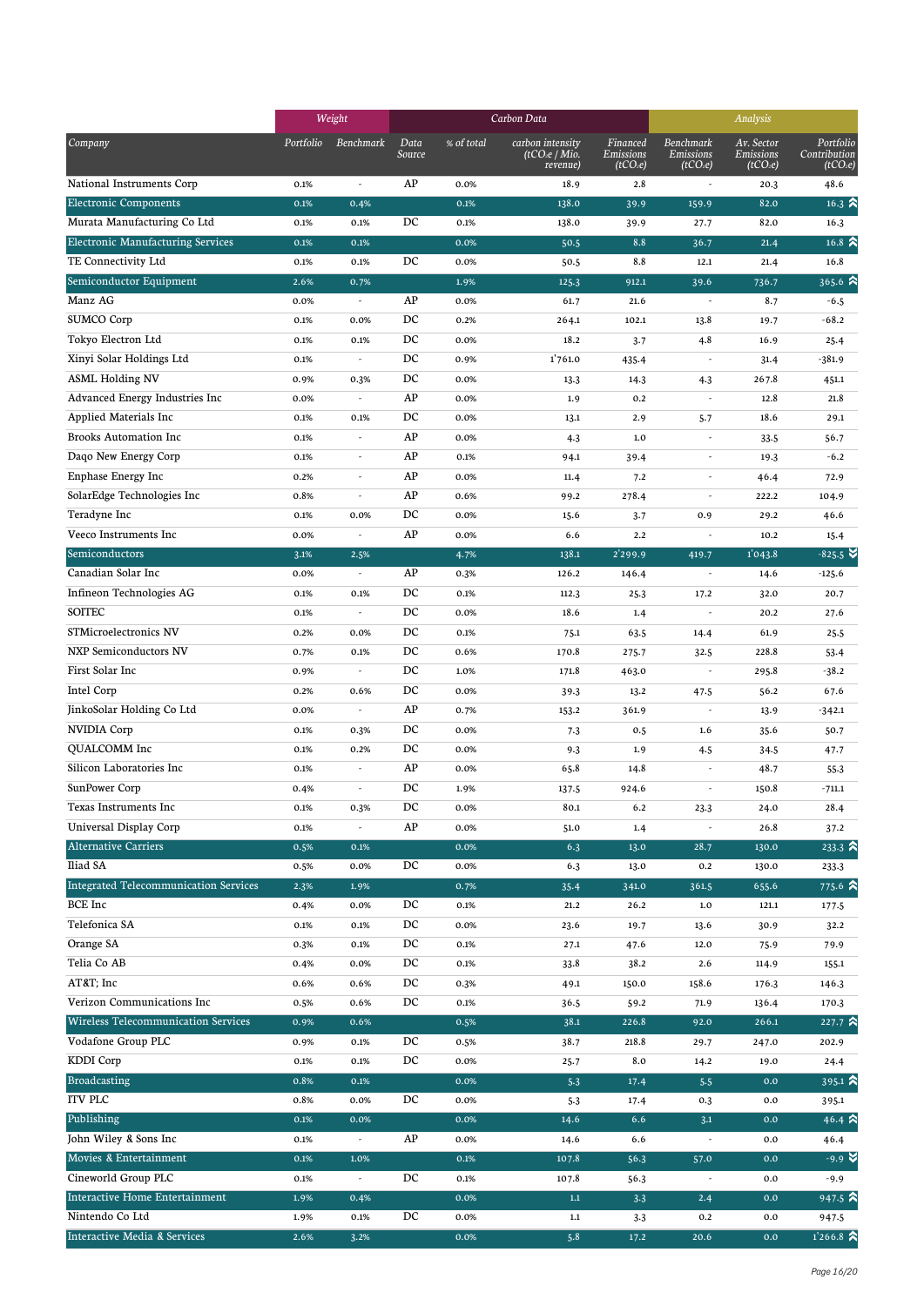|                                              |           | Weight                   |                |            | Carbon Data                                              |                                               | Analysis                                       |                                                 |                                                   |
|----------------------------------------------|-----------|--------------------------|----------------|------------|----------------------------------------------------------|-----------------------------------------------|------------------------------------------------|-------------------------------------------------|---------------------------------------------------|
| Company                                      | Portfolio | Benchmark                | Data<br>Source | % of total | carbon intensity<br>(tCO <sub>2</sub> e/Mio.<br>revenue) | Financed<br>Emissions<br>(tCO <sub>2</sub> e) | Benchmark<br>Emissions<br>(tCO <sub>2</sub> e) | Av. Sector<br>Emissions<br>(tCO <sub>2</sub> e) | Portfolio<br>Contribution<br>(tCO <sub>2</sub> e) |
| National Instruments Corp                    | 0.1%      | $\overline{\phantom{a}}$ | AP             | 0.0%       | 18.9                                                     | 2.8                                           | $\overline{\phantom{a}}$                       | 20.3                                            | 48.6                                              |
| <b>Electronic Components</b>                 | 0.1%      | 0.4%                     |                | 0.1%       | 138.0                                                    | 39.9                                          | 159.9                                          | 82.0                                            | 16.3 $\hat{ }$                                    |
| Murata Manufacturing Co Ltd                  | 0.1%      | 0.1%                     | DC             | 0.1%       | 138.0                                                    | 39.9                                          | 27.7                                           | 82.0                                            | 16.3                                              |
| Electronic Manufacturing Services            | 0.1%      | 0.1%                     |                | 0.0%       | 50.5                                                     | 8.8                                           | 36.7                                           | 21.4                                            | $16.8$ $\approx$                                  |
| TE Connectivity Ltd                          | 0.1%      | 0.1%                     | DC             | 0.0%       | 50.5                                                     | 8.8                                           | 12.1                                           | 21.4                                            | 16.8                                              |
| Semiconductor Equipment                      | 2.6%      | 0.7%                     |                | 1.9%       | 125.3                                                    | 912.1                                         | 39.6                                           | 736.7                                           | 365.6 $\approx$                                   |
| Manz AG                                      | 0.0%      | $\overline{\phantom{a}}$ | AP             | 0.0%       | 61.7                                                     | 21.6                                          | $\overline{\phantom{a}}$                       | 8.7                                             | $-6.5$                                            |
| <b>SUMCO Corp</b>                            | 0.1%      | 0.0%                     | DC             | 0.2%       | 264.1                                                    | 102.1                                         | 13.8                                           | 19.7                                            | $-68.2$                                           |
| Tokyo Electron Ltd                           | 0.1%      | 0.1%                     | DC             | 0.0%       | 18.2                                                     | 3.7                                           | 4.8                                            | 16.9                                            | 25.4                                              |
| Xinyi Solar Holdings Ltd                     | 0.1%      | ٠                        | DC             | 0.9%       | 1'761.0                                                  | 435.4                                         | $\overline{\phantom{a}}$                       | 31.4                                            | -381.9                                            |
| <b>ASML Holding NV</b>                       | 0.9%      | 0.3%                     | DC             | 0.0%       | 13.3                                                     | 14.3                                          | 4.3                                            | 267.8                                           | 451.1                                             |
| Advanced Energy Industries Inc               | 0.0%      | $\overline{\phantom{a}}$ | AP             | 0.0%       | 1.9                                                      | 0.2                                           | $\sim$                                         | 12.8                                            | 21.8                                              |
| Applied Materials Inc                        | 0.1%      | 0.1%                     | DC             | 0.0%       | 13.1                                                     | 2.9                                           | 5.7                                            | 18.6                                            | 29.1                                              |
| <b>Brooks Automation Inc</b>                 | 0.1%      | ÷,                       | AP             | 0.0%       | 4.3                                                      | 1.0                                           | $\overline{\phantom{a}}$                       | 33.5                                            | 56.7                                              |
| Daqo New Energy Corp                         | 0.1%      | ÷,                       | AP             | 0.1%       | 94.1                                                     | 39.4                                          | $\overline{\phantom{a}}$                       | 19.3                                            | $-6.2$                                            |
| Enphase Energy Inc                           | 0.2%      | ÷,                       | AP             | 0.0%       | 11.4                                                     | 7.2                                           | $\overline{\phantom{a}}$                       | 46.4                                            | 72.9                                              |
| SolarEdge Technologies Inc                   | 0.8%      | ÷,                       | AP             | 0.6%       | 99.2                                                     | 278.4                                         | $\overline{\phantom{a}}$                       | 222.2                                           | 104.9                                             |
| Teradyne Inc                                 | 0.1%      | 0.0%                     | DC             | 0.0%       | 15.6                                                     | 3.7                                           | 0.9                                            | 29.2                                            | 46.6                                              |
| Veeco Instruments Inc                        | 0.0%      |                          | AP             | 0.0%       | 6.6                                                      | 2.2                                           |                                                | 10.2                                            | 15.4                                              |
| Semiconductors                               | 3.1%      | 2.5%                     |                | 4.7%       | 138.1                                                    | 2'299.9                                       | 419.7                                          | 1'043.8                                         | $-825.5$ $\times$                                 |
| Canadian Solar Inc                           | 0.0%      | $\overline{\phantom{a}}$ | AP             | 0.3%       | 126.2                                                    | 146.4                                         | $\overline{\phantom{a}}$                       | 14.6                                            | $-125.6$                                          |
| Infineon Technologies AG                     | 0.1%      | 0.1%                     | DC             | 0.1%       | 112.3                                                    | 25.3                                          | 17.2                                           | 32.0                                            | 20.7                                              |
| <b>SOITEC</b>                                | 0.1%      | $\overline{a}$           | DC             | 0.0%       | 18.6                                                     | 1.4                                           | $\overline{\phantom{a}}$                       | 20.2                                            | 27.6                                              |
| STMicroelectronics NV                        | 0.2%      | 0.0%                     | DC             | 0.1%       | 75.1                                                     | 63.5                                          | 14.4                                           | 61.9                                            | 25.5                                              |
| <b>NXP Semiconductors NV</b>                 | 0.7%      | 0.1%                     | DC             | 0.6%       | 170.8                                                    | 275.7                                         | 32.5                                           | 228.8                                           | 53.4                                              |
| First Solar Inc                              | 0.9%      | $\overline{a}$           | DC             | 1.0%       | 171.8                                                    | 463.0                                         | $\overline{\phantom{a}}$                       | 295.8                                           | $-38.2$                                           |
| Intel Corp                                   | 0.2%      | 0.6%                     | DC             | 0.0%       | 39.3                                                     | 13.2                                          | 47.5                                           | 56.2                                            | 67.6                                              |
| JinkoSolar Holding Co Ltd                    | 0.0%      | $\overline{a}$           | AP             | 0.7%       | 153.2                                                    | 361.9                                         | $\overline{\phantom{a}}$                       | 13.9                                            | $-342.1$                                          |
| NVIDIA Corp                                  | 0.1%      | 0.3%                     | DC             | 0.0%       | 7.3                                                      | 0.5                                           | 1.6                                            | 35.6                                            | 50.7                                              |
| QUALCOMM Inc                                 | 0.1%      | 0.2%                     | DC             | 0.0%       | 9.3                                                      | 1.9                                           | 4.5                                            | 34.5                                            | 47.7                                              |
| Silicon Laboratories Inc                     | 0.1%      | ÷,                       | AP             | 0.0%       | 65.8                                                     | 14.8                                          | $\sim$                                         | 48.7                                            | 55.3                                              |
| SunPower Corp                                | 0.4%      |                          | DC             | 1.9%       | 137.5                                                    | 924.6                                         |                                                | 150.8                                           | $-711.1$                                          |
| Texas Instruments Inc                        | 0.1%      | 0.3%                     | DC             | 0.0%       | 80.1                                                     | $6.2\,$                                       | 23.3                                           | 24.0                                            | 28.4                                              |
| Universal Display Corp                       | 0.1%      | $\overline{\phantom{a}}$ | AP             | 0.0%       | 51.0                                                     | 1.4                                           | $\overline{\phantom{a}}$                       | 26.8                                            | 37.2                                              |
| <b>Alternative Carriers</b>                  | 0.5%      | 0.1%                     |                | 0.0%       | 6.3                                                      | 13.0                                          | 28.7                                           | 130.0                                           | $233.3 \; \text{\AA}$                             |
| Iliad SA                                     | 0.5%      | 0.0%                     | DC             | 0.0%       | 6.3                                                      | 13.0                                          | 0.2                                            | 130.0                                           | 233.3                                             |
| <b>Integrated Telecommunication Services</b> | 2.3%      | 1.9%                     |                | 0.7%       | 35.4                                                     | 341.0                                         | 361.5                                          | 655.6                                           | $775.6$ $\approx$                                 |
| <b>BCE</b> Inc                               | 0.4%      | 0.0%                     | DC             | 0.1%       | 21.2                                                     | 26.2                                          | 1.0                                            | 121.1                                           | 177.5                                             |
| Telefonica SA                                | 0.1%      | 0.1%                     | DC             | 0.0%       | 23.6                                                     | 19.7                                          | 13.6                                           | 30.9                                            | 32.2                                              |
| Orange SA                                    | 0.3%      | 0.1%                     | DC             | 0.1%       | 27.1                                                     | 47.6                                          | 12.0                                           | 75.9                                            | 79.9                                              |
| Telia Co AB                                  | 0.4%      | 0.0%                     | DC             | 0.1%       | 33.8                                                     | 38.2                                          | 2.6                                            | 114.9                                           | 155.1                                             |
| AT&T Inc                                     | 0.6%      | 0.6%                     | DC             | 0.3%       | 49.1                                                     | 150.0                                         | 158.6                                          | 176.3                                           | 146.3                                             |
| Verizon Communications Inc                   | 0.5%      | 0.6%                     | DC             | 0.1%       | 36.5                                                     | 59.2                                          | 71.9                                           | 136.4                                           | 170.3                                             |
| Wireless Telecommunication Services          | 0.9%      | 0.6%                     |                | 0.5%       | 38.1                                                     | 226.8                                         | 92.0                                           | 266.1                                           | 227.7 $\hat{\mathbf{a}}$                          |
| Vodafone Group PLC                           | 0.9%      | 0.1%                     | DC             | 0.5%       | 38.7                                                     | 218.8                                         | 29.7                                           | 247.0                                           | 202.9                                             |
| KDDI Corp                                    | 0.1%      | 0.1%                     | DC             | 0.0%       | 25.7                                                     | 8.0                                           | 14.2                                           | 19.0                                            | 24.4                                              |
| Broadcasting                                 | 0.8%      | 0.1%                     |                | 0.0%       | 5.3                                                      | 17.4                                          | 5.5                                            | 0.0                                             | 395.1 $\hat{\mathbf{a}}$                          |
| <b>ITV PLC</b>                               | 0.8%      | 0.0%                     | DC             | 0.0%       | 5.3                                                      | 17.4                                          | 0.3                                            | 0.0                                             | 395.1                                             |
| Publishing                                   | 0.1%      | 0.0%                     |                | 0.0%       | 14.6                                                     | 6.6                                           | 3.1                                            | 0.0                                             | 46.4 $\approx$                                    |
| John Wiley & Sons Inc                        | 0.1%      |                          | AP             | 0.0%       | 14.6                                                     | 6.6                                           |                                                | 0.0                                             | 46.4                                              |
| Movies & Entertainment                       | 0.1%      | 1.0%                     |                | 0.1%       | 107.8                                                    | 56.3                                          | 57.0                                           | 0.0                                             | $-9.9$ $\blacktriangleright$                      |
| Cineworld Group PLC                          | 0.1%      | $\overline{\phantom{a}}$ | DC             | 0.1%       | 107.8                                                    | 56.3                                          | $\overline{\phantom{a}}$                       | 0.0                                             | $-9.9$                                            |
| Interactive Home Entertainment               | 1.9%      | 0.4%                     |                | 0.0%       | $1.1\,$                                                  | 3.3                                           | 2.4                                            | 0.0                                             | $947.5$ $\approx$                                 |
| Nintendo Co Ltd                              | 1.9%      | 0.1%                     | DC             | 0.0%       | $1.1\,$                                                  | 3.3                                           | 0.2                                            | 0.0                                             | 947.5                                             |
| Interactive Media & Services                 | 2.6%      | 3.2%                     |                | 0.0%       | 5.8                                                      | 17.2                                          | 20.6                                           | 0.0                                             | $1'266.8$ $\approx$                               |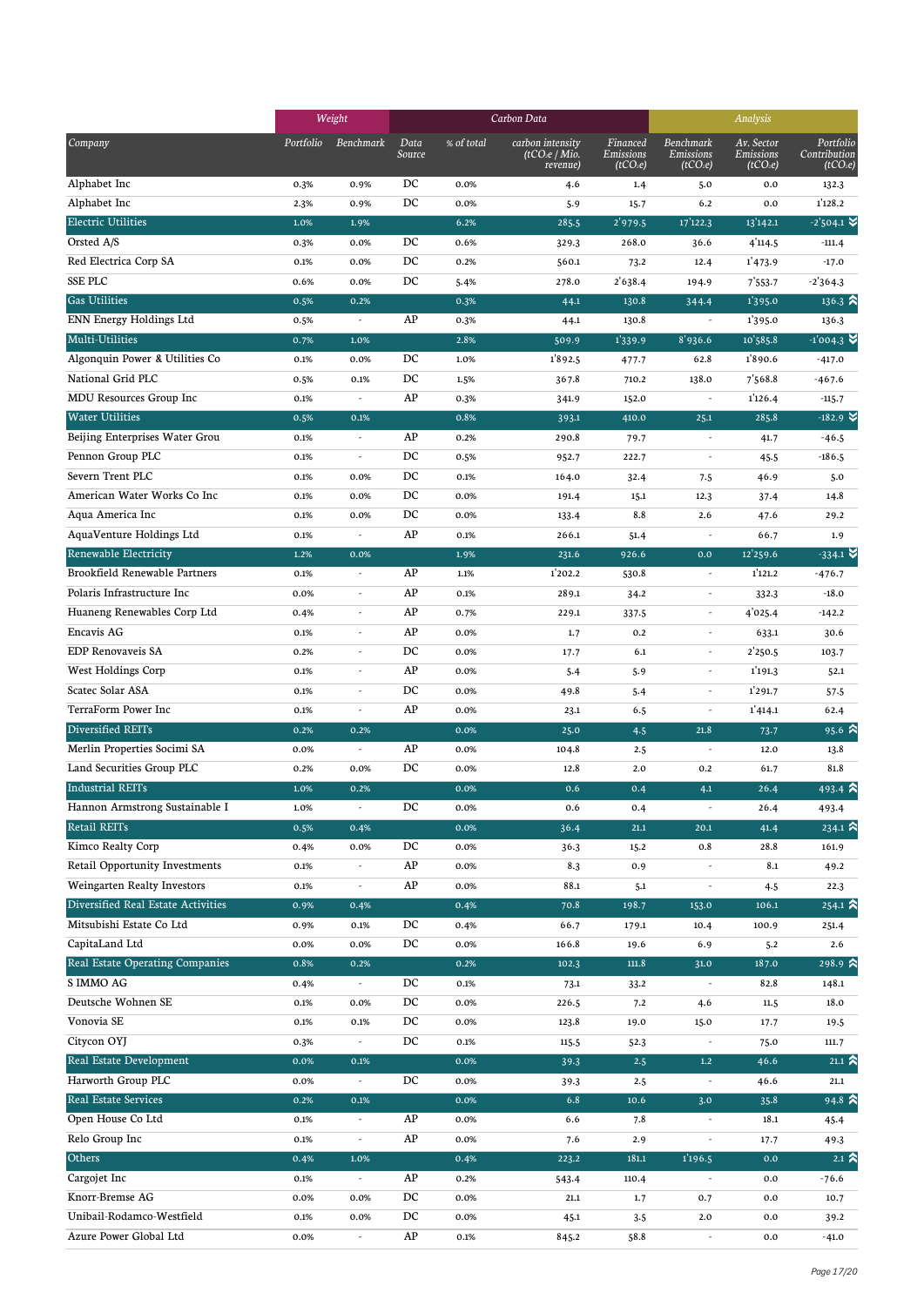|                                    |           | Weight                   |                  |            | Carbon Data                                              |                                               | Analysis                                       |                                                 |                                                   |
|------------------------------------|-----------|--------------------------|------------------|------------|----------------------------------------------------------|-----------------------------------------------|------------------------------------------------|-------------------------------------------------|---------------------------------------------------|
| Company                            | Portfolio | Benchmark                | Data<br>Source   | % of total | carbon intensity<br>(tCO <sub>2</sub> e/Mio.<br>revenue) | Financed<br>Emissions<br>(tCO <sub>2</sub> e) | Benchmark<br>Emissions<br>(tCO <sub>2</sub> e) | Av. Sector<br>Emissions<br>(tCO <sub>2</sub> e) | Portfolio<br>Contribution<br>(tCO <sub>2</sub> e) |
| Alphabet Inc                       | 0.3%      | 0.9%                     | DC               | 0.0%       | 4.6                                                      | 1.4                                           | 5.0                                            | $0.0\,$                                         | 132.3                                             |
| Alphabet Inc                       | 2.3%      | 0.9%                     | DC               | 0.0%       | 5.9                                                      | 15.7                                          | 6.2                                            | 0.0                                             | 1'128.2                                           |
| <b>Electric Utilities</b>          | 1.0%      | 1.9%                     |                  | 6.2%       | 285.5                                                    | 2'979.5                                       | 17'122.3                                       | 13'142.1                                        | $-2'504.1$ $\blacktriangleright$                  |
| Orsted A/S                         | 0.3%      | 0.0%                     | DC               | 0.6%       | 329.3                                                    | 268.0                                         | 36.6                                           | 4'114.5                                         | $-111.4$                                          |
| Red Electrica Corp SA              | 0.1%      | 0.0%                     | DC               | 0.2%       | 560.1                                                    | 73.2                                          | 12.4                                           | 1'473.9                                         | $-17.0$                                           |
| <b>SSE PLC</b>                     | 0.6%      | 0.0%                     | DC               | 5.4%       | 278.0                                                    | 2'638.4                                       | 194.9                                          | 7'553.7                                         | $-2'364.3$                                        |
| <b>Gas Utilities</b>               | 0.5%      | 0.2%                     |                  | 0.3%       | 44.1                                                     | 130.8                                         | 344.4                                          | 1'395.0                                         | $136.3 \; \text{\AA}$                             |
| ENN Energy Holdings Ltd            | 0.5%      |                          | AP               | 0.3%       | 44.1                                                     | 130.8                                         | $\overline{\phantom{a}}$                       | 1'395.0                                         | 136.3                                             |
| Multi-Utilities                    | 0.7%      | 1.0%                     |                  | 2.8%       | 509.9                                                    | 1'339.9                                       | 8'936.6                                        | 10'585.8                                        | $-1'004.3$                                        |
| Algonquin Power & Utilities Co     | 0.1%      | 0.0%                     | DC               | 1.0%       | 1892.5                                                   | 477.7                                         | 62.8                                           | 1890.6                                          | $-417.0$                                          |
| National Grid PLC                  | 0.5%      | 0.1%                     | DC               | 1.5%       | 367.8                                                    | 710.2                                         | 138.0                                          | 7568.8                                          | $-467.6$                                          |
| MDU Resources Group Inc            | 0.1%      | $\overline{\phantom{a}}$ | AP               | 0.3%       | 341.9                                                    | 152.0                                         | $\overline{\phantom{a}}$                       | 1'126.4                                         | $-115.7$                                          |
| <b>Water Utilities</b>             | 0.5%      | 0.1%                     |                  | 0.8%       | 393.1                                                    | 410.0                                         | 25.1                                           | 285.8                                           | $-182.9$ $\vee$                                   |
| Beijing Enterprises Water Grou     | 0.1%      | $\overline{\phantom{a}}$ | AP               | 0.2%       | 290.8                                                    | 79.7                                          | $\overline{\phantom{a}}$                       | 41.7                                            | $-46.5$                                           |
| Pennon Group PLC                   | 0.1%      | L,                       | DC               | 0.5%       | 952.7                                                    | 222.7                                         | $\sim$                                         | 45.5                                            | $-186.5$                                          |
| Severn Trent PLC                   | 0.1%      | 0.0%                     | DC               | 0.1%       | 164.0                                                    | 32.4                                          | 7.5                                            | 46.9                                            | 5.0                                               |
| American Water Works Co Inc        | 0.1%      | 0.0%                     | DC               | 0.0%       | 191.4                                                    | 15.1                                          | 12.3                                           | 37.4                                            | 14.8                                              |
| Aqua America Inc                   | 0.1%      | 0.0%                     | DC               | 0.0%       | 133.4                                                    | 8.8                                           | 2.6                                            | 47.6                                            | 29.2                                              |
| AquaVenture Holdings Ltd           | 0.1%      |                          | AP               | 0.1%       | 266.1                                                    | 51.4                                          |                                                | 66.7                                            | 1.9                                               |
| Renewable Electricity              | 1.2%      | 0.0%                     |                  | 1.9%       | 231.6                                                    | 926.6                                         | 0.0                                            | 12'259.6                                        | $-334.1$ $\times$                                 |
| Brookfield Renewable Partners      | 0.1%      | $\overline{a}$           | AP               | 1.1%       | 1'202.2                                                  | 530.8                                         | $\overline{\phantom{a}}$                       | 1'121.2                                         | $-476.7$                                          |
| Polaris Infrastructure Inc         | 0.0%      | $\overline{a}$           | AP               | 0.1%       | 289.1                                                    | 34.2                                          | $\overline{\phantom{a}}$                       | 332.3                                           | $-18.0$                                           |
| Huaneng Renewables Corp Ltd        | 0.4%      | $\overline{a}$           | AP               | 0.7%       | 229.1                                                    | 337.5                                         | $\overline{\phantom{a}}$                       | 4'025.4                                         | $-142.2$                                          |
| Encavis AG                         | 0.1%      | ÷,                       | AP               | 0.0%       | 1.7                                                      | 0.2                                           | $\overline{\phantom{a}}$                       | 633.1                                           | 30.6                                              |
| <b>EDP Renovaveis SA</b>           | 0.2%      | L,                       | DC               | 0.0%       | 17.7                                                     | 6.1                                           | $\overline{\phantom{a}}$                       | 2'250.5                                         | 103.7                                             |
| West Holdings Corp                 | 0.1%      | L,                       | AP               | 0.0%       | 5.4                                                      | 5.9                                           | $\sim$                                         | 1'191.3                                         | 52.1                                              |
| Scatec Solar ASA                   | 0.1%      | ÷,                       | DC               | 0.0%       | 49.8                                                     | 5.4                                           | $\overline{\phantom{a}}$                       | 1'291.7                                         | 57.5                                              |
| TerraForm Power Inc                | 0.1%      | $\overline{\phantom{a}}$ | AP               | 0.0%       | 23.1                                                     | 6.5                                           | $\overline{\phantom{a}}$                       | 1'414.1                                         | 62.4                                              |
| Diversified REITs                  | 0.2%      | 0.2%                     |                  | 0.0%       | 25.0                                                     | 4.5                                           | 21.8                                           | 73.7                                            | 95.6 $\approx$                                    |
| Merlin Properties Socimi SA        | 0.0%      |                          | AP               | 0.0%       | 104.8                                                    | 2.5                                           |                                                | 12.0                                            | 13.8                                              |
| Land Securities Group PLC          | 0.2%      | 0.0%                     | DC               | 0.0%       | 12.8                                                     | 2.0                                           | 0.2                                            | 61.7                                            | 81.8                                              |
| <b>Industrial REITs</b>            | 1.0%      | 0.2%                     |                  | 0.0%       | 0.6                                                      | 0.4                                           | 4.1                                            | 26.4                                            | $493.4$ $\approx$                                 |
| Hannon Armstrong Sustainable I     | 1.0%      | $\overline{\phantom{a}}$ | DC               | 0.0%       | 0.6                                                      | 0.4                                           |                                                | 26.4                                            | 493.4                                             |
| <b>Retail REITs</b>                | 0.5%      | 0.4%                     |                  | 0.0%       | 36.4                                                     | 21.1                                          | 20.1                                           | 41.4                                            | $234.1$ $\approx$                                 |
| Kimco Realty Corp                  | 0.4%      | 0.0%                     | DC               | 0.0%       | 36.3                                                     | 15.2                                          | 0.8                                            | 28.8                                            | 161.9                                             |
| Retail Opportunity Investments     | 0.1%      | $\overline{\phantom{a}}$ | AP               | 0.0%       | 8.3                                                      | 0.9                                           | $\overline{\phantom{a}}$                       | 8.1                                             | 49.2                                              |
| Weingarten Realty Investors        | 0.1%      | ÷,                       | AP               | 0.0%       | 88.1                                                     | 5.1                                           | $\overline{\phantom{a}}$                       | 4.5                                             | 22.3                                              |
| Diversified Real Estate Activities | 0.9%      | 0.4%                     |                  | 0.4%       | 70.8                                                     | 198.7                                         | 153.0                                          | 106.1                                           | $254.1 \; \text{\AA}$                             |
| Mitsubishi Estate Co Ltd           | 0.9%      | 0.1%                     | DC               | 0.4%       | 66.7                                                     | 179.1                                         | 10.4                                           | 100.9                                           | 251.4                                             |
| CapitaLand Ltd                     | 0.0%      | 0.0%                     | DC               | 0.0%       | 166.8                                                    | 19.6                                          | 6.9                                            | 5.2                                             | 2.6                                               |
| Real Estate Operating Companies    | 0.8%      | 0.2%                     |                  | 0.2%       | 102.3                                                    | 111.8                                         | 31.0                                           | 187.0                                           | 298.9 $\approx$                                   |
| S IMMO AG                          | 0.4%      | $\overline{\phantom{a}}$ | $_{\mathrm{DC}}$ | 0.1%       | 73.1                                                     | 33.2                                          | $\overline{\phantom{a}}$                       | 82.8                                            | 148.1                                             |
| Deutsche Wohnen SE                 | 0.1%      | 0.0%                     | DC               | 0.0%       | 226.5                                                    | 7.2                                           | 4.6                                            | 11.5                                            | 18.0                                              |
| Vonovia SE                         | 0.1%      | 0.1%                     | DC               | 0.0%       | 123.8                                                    | 19.0                                          | 15.0                                           | 17.7                                            | 19.5                                              |
| Citycon OYJ                        | 0.3%      | $\overline{\phantom{a}}$ | DC               | 0.1%       | 115.5                                                    | 52.3                                          | $\overline{\phantom{a}}$                       | 75.0                                            | 111.7                                             |
| Real Estate Development            | 0.0%      | 0.1%                     |                  | 0.0%       | 39.3                                                     | 2.5                                           | $1.2\,$                                        | 46.6                                            | 21.1 $\approx$                                    |
| Harworth Group PLC                 | 0.0%      | $\overline{\phantom{a}}$ | DC               | 0.0%       | 39.3                                                     | 2.5                                           | $\overline{\phantom{a}}$                       | 46.6                                            | 21.1                                              |
| Real Estate Services               | 0.2%      | 0.1%                     |                  | 0.0%       | 6.8                                                      | 10.6                                          | 3.0                                            | 35.8                                            | $94.8$ $\approx$                                  |
| Open House Co Ltd                  | 0.1%      | $\overline{\phantom{a}}$ | AP               | 0.0%       | 6.6                                                      | 7.8                                           |                                                | 18.1                                            | 45.4                                              |
| Relo Group Inc                     | 0.1%      | $\overline{\phantom{a}}$ | AP               | 0.0%       | 7.6                                                      | 2.9                                           |                                                | 17.7                                            | 49.3                                              |
| Others                             | 0.4%      | 1.0%                     |                  | 0.4%       | 223.2                                                    | 181.1                                         | 1'196.5                                        | 0.0                                             | 2.1 $\hat{z}$                                     |
| Cargojet Inc                       | 0.1%      | $\overline{\phantom{a}}$ | AP               | 0.2%       | 543.4                                                    | 110.4                                         |                                                | 0.0                                             | $-76.6$                                           |
| Knorr-Bremse AG                    | 0.0%      | 0.0%                     | DC               | 0.0%       | 21.1                                                     | 1.7                                           | 0.7                                            | 0.0                                             | 10.7                                              |
| Unibail-Rodamco-Westfield          | 0.1%      | 0.0%                     | DC               | 0.0%       | 45.1                                                     | 3.5                                           | $2.0$                                          | 0.0                                             | 39.2                                              |
| Azure Power Global Ltd             | 0.0%      | $\overline{\phantom{a}}$ | ${\sf AP}$       | 0.1%       | 845.2                                                    | 58.8                                          | $\overline{\phantom{a}}$                       | 0.0                                             | $-41.0$                                           |
|                                    |           |                          |                  |            |                                                          |                                               |                                                |                                                 |                                                   |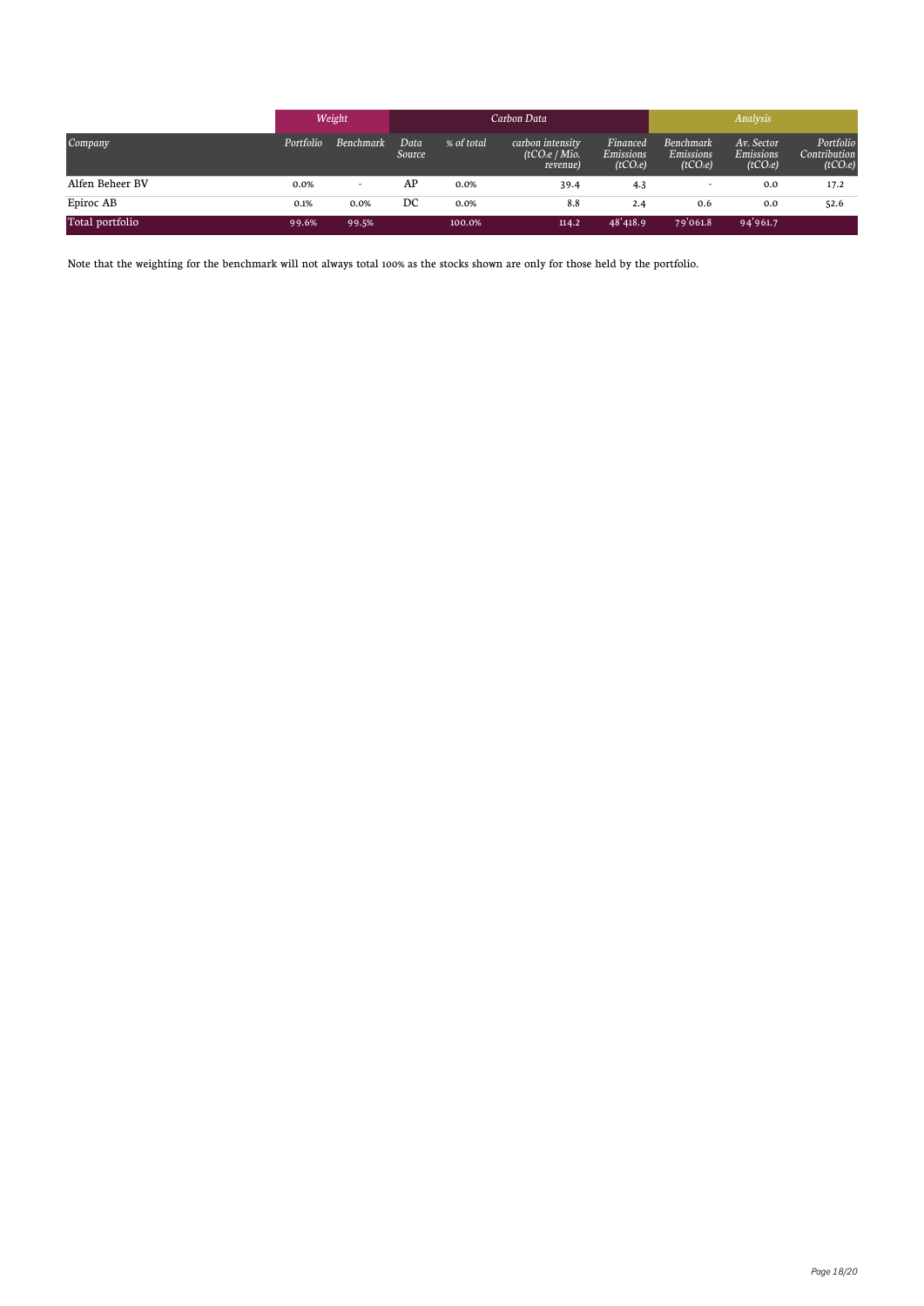|                 | Weight    |                  | Carbon Data           |            |                                                          |                                               | Analysis                                              |                                                        |                                                   |
|-----------------|-----------|------------------|-----------------------|------------|----------------------------------------------------------|-----------------------------------------------|-------------------------------------------------------|--------------------------------------------------------|---------------------------------------------------|
| Company         | Portfolio | <b>Benchmark</b> | Data<br><b>Source</b> | % of total | carbon intensity<br>(tCO <sub>2</sub> e/Mio.<br>revenue) | Financed<br>Emissions<br>(tCO <sub>2</sub> e) | Benchmark<br><b>Emissions</b><br>(tCO <sub>2</sub> e) | Av. Sector<br><b>Emissions</b><br>(tCO <sub>2</sub> e) | Portfolio<br>Contribution<br>(tCO <sub>2</sub> e) |
| Alfen Beheer BV | 0.0%      | ۰                | AP                    | 0.0%       | 39.4                                                     | 4.3                                           |                                                       | 0.0                                                    | 17.2                                              |
| Epiroc AB       | 0.1%      | 0.0%             | DC                    | 0.0%       | 8.8                                                      | 2.4                                           | 0.6                                                   | 0.0                                                    | 52.6                                              |
| Total portfolio | 99.6%     | 99.5%            |                       | 100.0%     | 114.2                                                    | 48'418.9                                      | 79'061.8                                              | 94'961.7                                               |                                                   |

Note that the weighting for the benchmark will not always total 100% as the stocks shown are only for those held by the portfolio.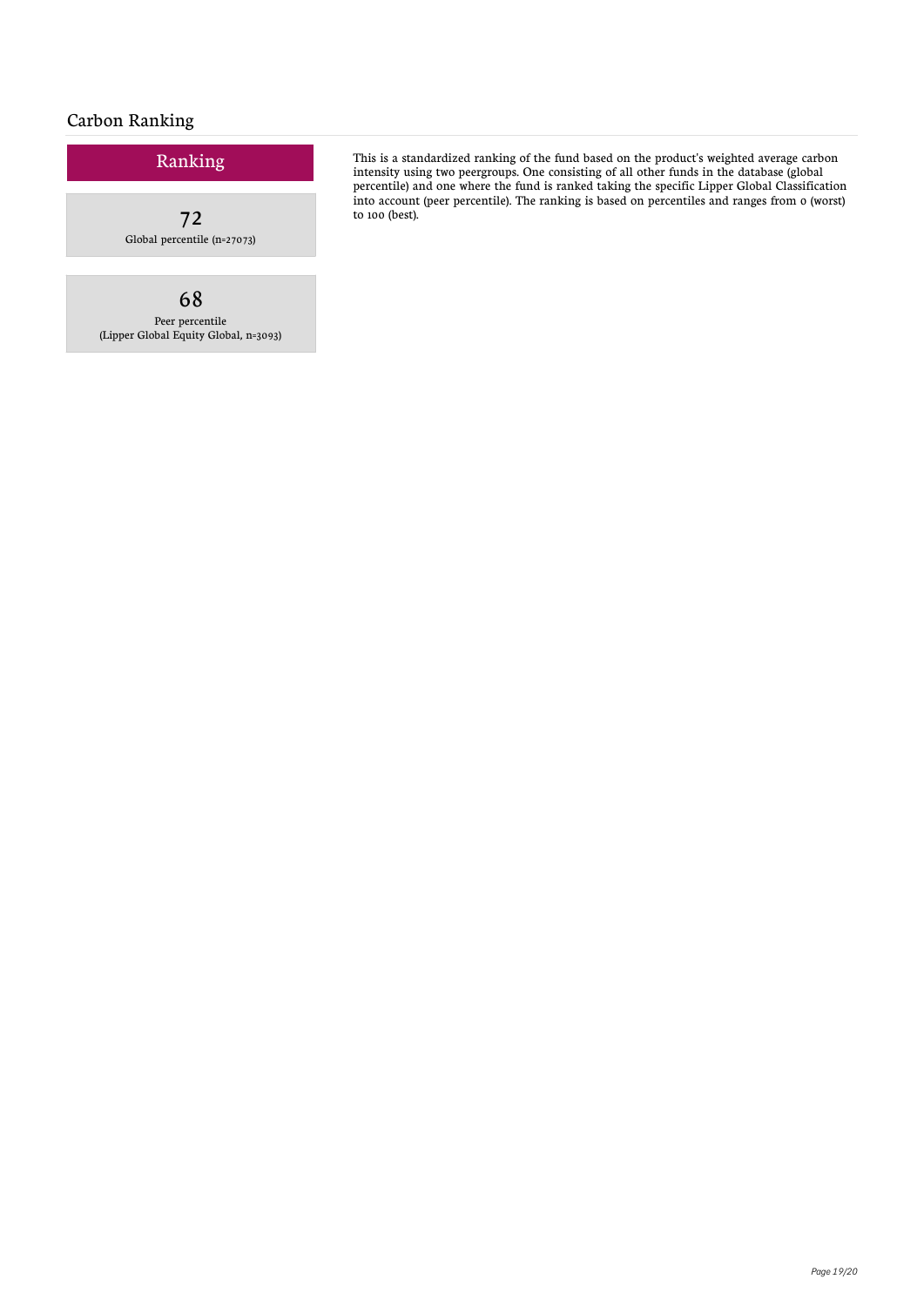### Carbon Ranking

# Ranking 72 Global percentile (n=27073)

68 Peer percentile (Lipper Global Equity Global, n=3093)

This is a standardized ranking of the fund based on the product's weighted average carbon intensity using two peergroups. One consisting of all other funds in the database (global percentile) and one where the fund is ranked taking the specific Lipper Global Classification into account (peer percentile). The ranking is based on percentiles and ranges from 0 (worst) to 100 (best).